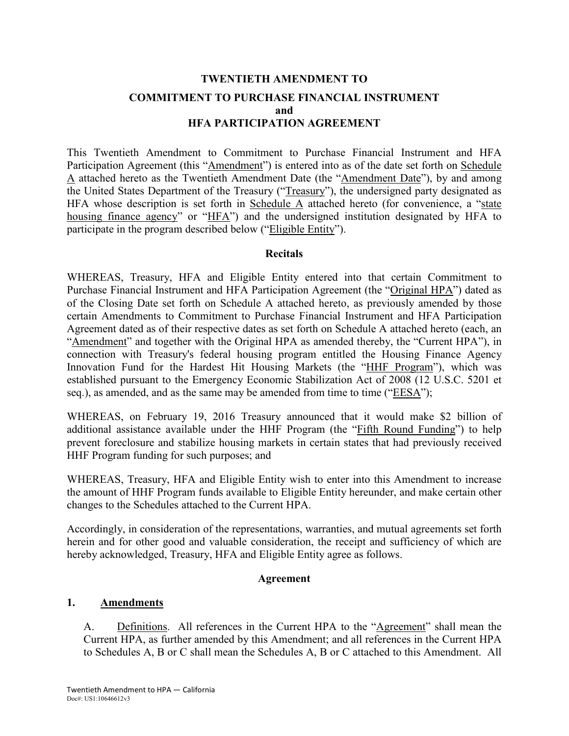## **TWENTIETH AMENDMENT TO COMMITMENT TO PURCHASE FINANCIAL INSTRUMENT and HFA PARTICIPATION AGREEMENT**

This Twentieth Amendment to Commitment to Purchase Financial Instrument and HFA Participation Agreement (this "Amendment") is entered into as of the date set forth on Schedule A attached hereto as the Twentieth Amendment Date (the "Amendment Date"), by and among the United States Department of the Treasury ("Treasury"), the undersigned party designated as HFA whose description is set forth in Schedule A attached hereto (for convenience, a "state housing finance agency" or "HFA") and the undersigned institution designated by HFA to participate in the program described below ("Eligible Entity").

#### **Recitals**

WHEREAS, Treasury, HFA and Eligible Entity entered into that certain Commitment to Purchase Financial Instrument and HFA Participation Agreement (the "Original HPA") dated as of the Closing Date set forth on Schedule A attached hereto, as previously amended by those certain Amendments to Commitment to Purchase Financial Instrument and HFA Participation Agreement dated as of their respective dates as set forth on Schedule A attached hereto (each, an "Amendment" and together with the Original HPA as amended thereby, the "Current HPA"), in connection with Treasury's federal housing program entitled the Housing Finance Agency Innovation Fund for the Hardest Hit Housing Markets (the "HHF Program"), which was established pursuant to the Emergency Economic Stabilization Act of 2008 (12 U.S.C. 5201 et seq.), as amended, and as the same may be amended from time to time ("EESA");

WHEREAS, on February 19, 2016 Treasury announced that it would make \$2 billion of additional assistance available under the HHF Program (the "Fifth Round Funding") to help prevent foreclosure and stabilize housing markets in certain states that had previously received HHF Program funding for such purposes; and

WHEREAS, Treasury, HFA and Eligible Entity wish to enter into this Amendment to increase the amount of HHF Program funds available to Eligible Entity hereunder, and make certain other changes to the Schedules attached to the Current HPA.

Accordingly, in consideration of the representations, warranties, and mutual agreements set forth herein and for other good and valuable consideration, the receipt and sufficiency of which are hereby acknowledged, Treasury, HFA and Eligible Entity agree as follows.

#### **Agreement**

### **1. Amendments**

A. Definitions. All references in the Current HPA to the "Agreement" shall mean the Current HPA, as further amended by this Amendment; and all references in the Current HPA to Schedules A, B or C shall mean the Schedules A, B or C attached to this Amendment. All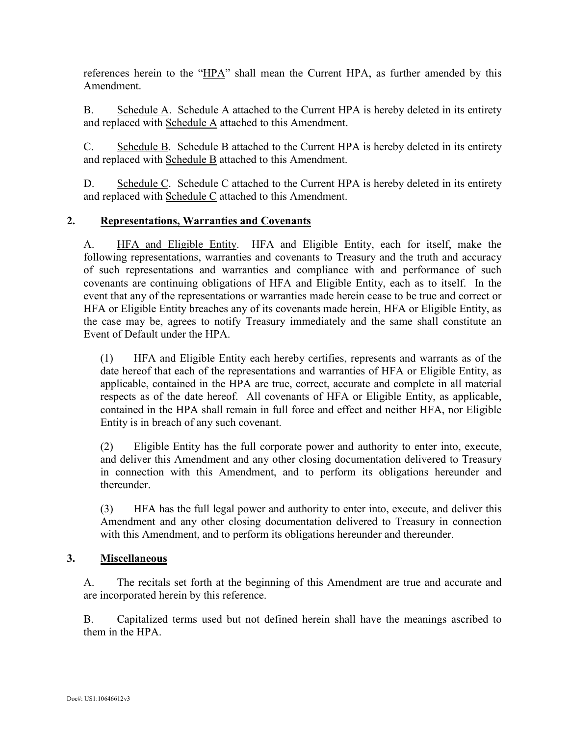references herein to the "HPA" shall mean the Current HPA, as further amended by this Amendment.

B. Schedule A. Schedule A attached to the Current HPA is hereby deleted in its entirety and replaced with Schedule A attached to this Amendment.

C. Schedule B. Schedule B attached to the Current HPA is hereby deleted in its entirety and replaced with Schedule B attached to this Amendment.

D. Schedule C. Schedule C attached to the Current HPA is hereby deleted in its entirety and replaced with Schedule C attached to this Amendment.

### **2. Representations, Warranties and Covenants**

A. HFA and Eligible Entity. HFA and Eligible Entity, each for itself, make the following representations, warranties and covenants to Treasury and the truth and accuracy of such representations and warranties and compliance with and performance of such covenants are continuing obligations of HFA and Eligible Entity, each as to itself. In the event that any of the representations or warranties made herein cease to be true and correct or HFA or Eligible Entity breaches any of its covenants made herein, HFA or Eligible Entity, as the case may be, agrees to notify Treasury immediately and the same shall constitute an Event of Default under the HPA.

(1) HFA and Eligible Entity each hereby certifies, represents and warrants as of the date hereof that each of the representations and warranties of HFA or Eligible Entity, as applicable, contained in the HPA are true, correct, accurate and complete in all material respects as of the date hereof. All covenants of HFA or Eligible Entity, as applicable, contained in the HPA shall remain in full force and effect and neither HFA, nor Eligible Entity is in breach of any such covenant.

(2) Eligible Entity has the full corporate power and authority to enter into, execute, and deliver this Amendment and any other closing documentation delivered to Treasury in connection with this Amendment, and to perform its obligations hereunder and thereunder.

(3) HFA has the full legal power and authority to enter into, execute, and deliver this Amendment and any other closing documentation delivered to Treasury in connection with this Amendment, and to perform its obligations hereunder and thereunder.

### **3. Miscellaneous**

A. The recitals set forth at the beginning of this Amendment are true and accurate and are incorporated herein by this reference.

B. Capitalized terms used but not defined herein shall have the meanings ascribed to them in the HPA.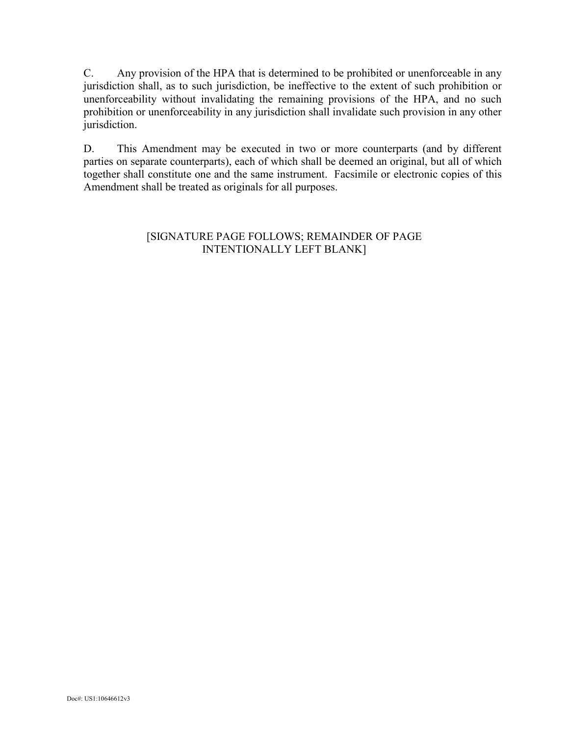C. Any provision of the HPA that is determined to be prohibited or unenforceable in any jurisdiction shall, as to such jurisdiction, be ineffective to the extent of such prohibition or unenforceability without invalidating the remaining provisions of the HPA, and no such prohibition or unenforceability in any jurisdiction shall invalidate such provision in any other jurisdiction.

D. This Amendment may be executed in two or more counterparts (and by different parties on separate counterparts), each of which shall be deemed an original, but all of which together shall constitute one and the same instrument. Facsimile or electronic copies of this Amendment shall be treated as originals for all purposes.

### [SIGNATURE PAGE FOLLOWS; REMAINDER OF PAGE INTENTIONALLY LEFT BLANK]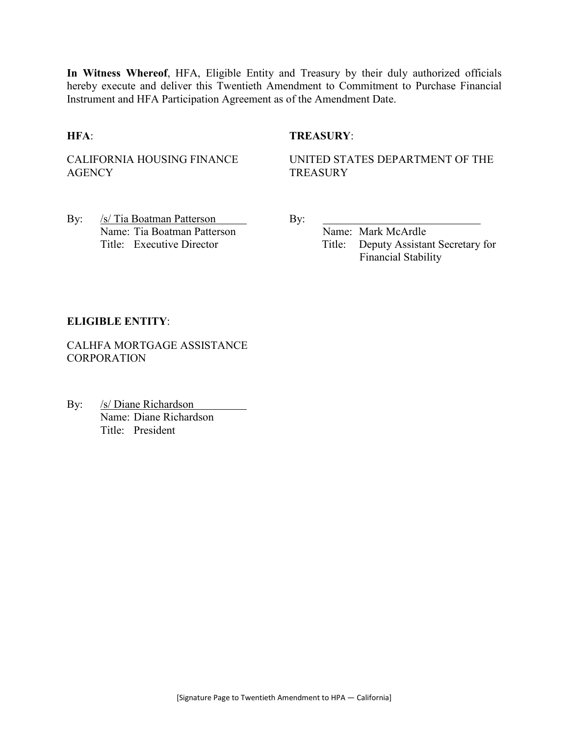**In Witness Whereof**, HFA, Eligible Entity and Treasury by their duly authorized officials hereby execute and deliver this Twentieth Amendment to Commitment to Purchase Financial Instrument and HFA Participation Agreement as of the Amendment Date.

#### **HFA**: **TREASURY**:

CALIFORNIA HOUSING FINANCE **AGENCY** 

UNITED STATES DEPARTMENT OF THE **TREASURY** 

By: /s/ Tia Boatman Patterson By: Name: Tia Boatman Patterson Name: Mark McArdle

Title: Executive Director Title: Deputy Assistant Secretary for Financial Stability

#### **ELIGIBLE ENTITY**:

CALHFA MORTGAGE ASSISTANCE **CORPORATION** 

By: /s/ Diane Richardson Name: Diane Richardson Title: President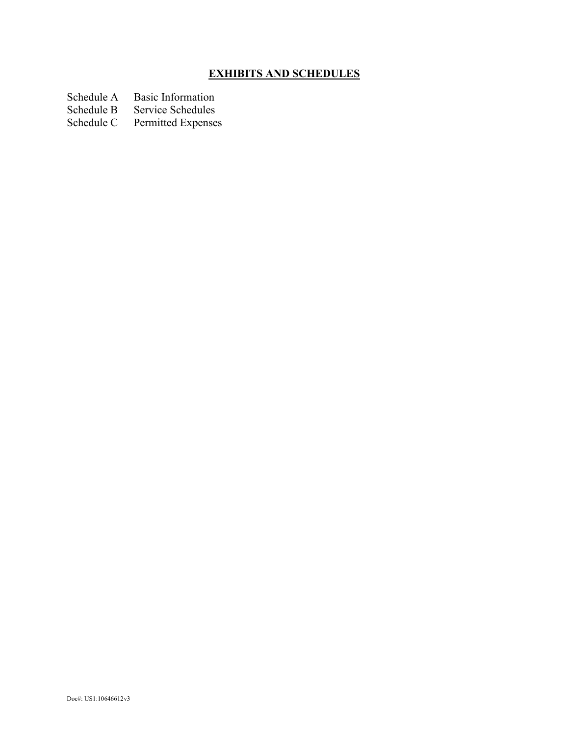## **EXHIBITS AND SCHEDULES**

Schedule A Basic Information<br>Schedule B Service Schedules

Schedule B Service Schedules<br>Schedule C Permitted Expense

Permitted Expenses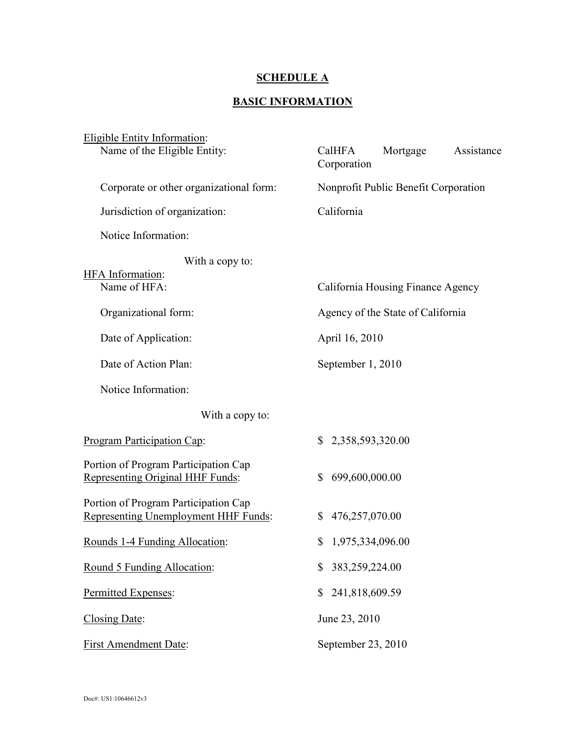## **SCHEDULE A**

#### **BASIC INFORMATION**

| <b>Eligible Entity Information:</b>                                          |                                                 |  |  |
|------------------------------------------------------------------------------|-------------------------------------------------|--|--|
| Name of the Eligible Entity:                                                 | Mortgage<br>CalHFA<br>Assistance<br>Corporation |  |  |
| Corporate or other organizational form:                                      | Nonprofit Public Benefit Corporation            |  |  |
| Jurisdiction of organization:                                                | California                                      |  |  |
| Notice Information:                                                          |                                                 |  |  |
| With a copy to:<br><b>HFA</b> Information:                                   |                                                 |  |  |
| Name of HFA:                                                                 | California Housing Finance Agency               |  |  |
| Organizational form:                                                         | Agency of the State of California               |  |  |
| Date of Application:                                                         | April 16, 2010                                  |  |  |
| Date of Action Plan:                                                         | September 1, 2010                               |  |  |
| Notice Information:                                                          |                                                 |  |  |
| With a copy to:                                                              |                                                 |  |  |
| Program Participation Cap:                                                   | $\mathbb{S}$<br>2,358,593,320.00                |  |  |
| Portion of Program Participation Cap<br>Representing Original HHF Funds:     | 699,600,000.00<br>\$                            |  |  |
| Portion of Program Participation Cap<br>Representing Unemployment HHF Funds: | 476,257,070.00<br>\$                            |  |  |
| Rounds 1-4 Funding Allocation:                                               | 1,975,334,096.00<br>\$                          |  |  |
| Round 5 Funding Allocation:                                                  | 383,259,224.00<br>\$                            |  |  |
| Permitted Expenses:                                                          | 241,818,609.59<br>\$                            |  |  |
| Closing Date:                                                                | June 23, 2010                                   |  |  |
| <b>First Amendment Date:</b>                                                 | September 23, 2010                              |  |  |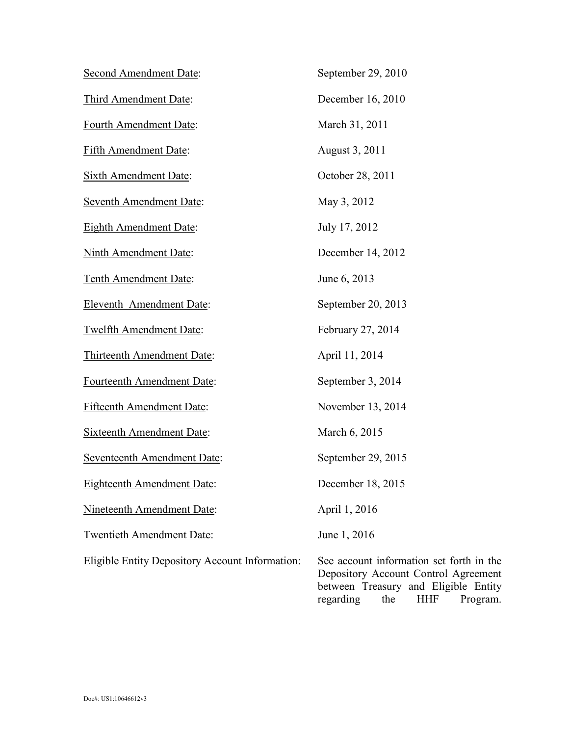| <b>Second Amendment Date:</b>                          | September 29, 2010                                                                                                                                                     |
|--------------------------------------------------------|------------------------------------------------------------------------------------------------------------------------------------------------------------------------|
| Third Amendment Date:                                  | December 16, 2010                                                                                                                                                      |
| Fourth Amendment Date:                                 | March 31, 2011                                                                                                                                                         |
| <b>Fifth Amendment Date:</b>                           | August 3, 2011                                                                                                                                                         |
| <b>Sixth Amendment Date:</b>                           | October 28, 2011                                                                                                                                                       |
| <b>Seventh Amendment Date:</b>                         | May 3, 2012                                                                                                                                                            |
| <b>Eighth Amendment Date:</b>                          | July 17, 2012                                                                                                                                                          |
| <b>Ninth Amendment Date:</b>                           | December 14, 2012                                                                                                                                                      |
| <b>Tenth Amendment Date:</b>                           | June 6, 2013                                                                                                                                                           |
| <b>Eleventh Amendment Date:</b>                        | September 20, 2013                                                                                                                                                     |
| <b>Twelfth Amendment Date:</b>                         | February 27, 2014                                                                                                                                                      |
| Thirteenth Amendment Date:                             | April 11, 2014                                                                                                                                                         |
| Fourteenth Amendment Date:                             | September 3, 2014                                                                                                                                                      |
| <b>Fifteenth Amendment Date:</b>                       | November 13, 2014                                                                                                                                                      |
| <b>Sixteenth Amendment Date:</b>                       | March 6, 2015                                                                                                                                                          |
| <b>Seventeenth Amendment Date:</b>                     | September 29, 2015                                                                                                                                                     |
| <b>Eighteenth Amendment Date:</b>                      | December 18, 2015                                                                                                                                                      |
| Nineteenth Amendment Date:                             | April 1, 2016                                                                                                                                                          |
| <b>Twentieth Amendment Date:</b>                       | June 1, 2016                                                                                                                                                           |
| <b>Eligible Entity Depository Account Information:</b> | See account information set forth in the<br>Depository Account Control Agreement<br>between Treasury and Eligible Entity<br><b>HHF</b><br>regarding<br>the<br>Program. |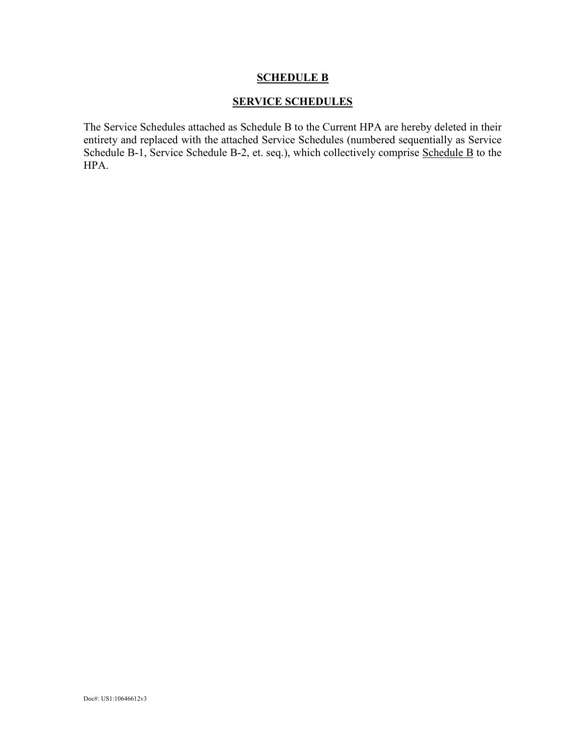#### **SERVICE SCHEDULES**

The Service Schedules attached as Schedule B to the Current HPA are hereby deleted in their entirety and replaced with the attached Service Schedules (numbered sequentially as Service Schedule B-1, Service Schedule B-2, et. seq.), which collectively comprise Schedule B to the HPA.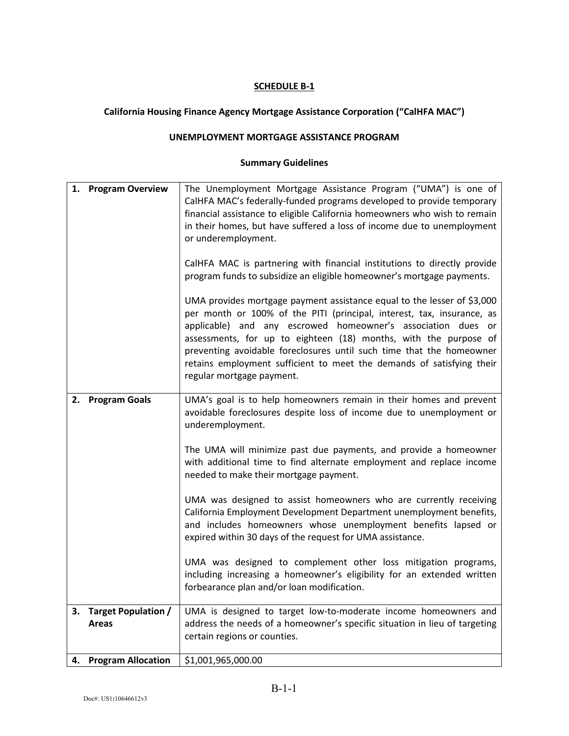## **California Housing Finance Agency Mortgage Assistance Corporation ("CalHFA MAC")**

#### **UNEMPLOYMENT MORTGAGE ASSISTANCE PROGRAM**

|    | 1. Program Overview                 | The Unemployment Mortgage Assistance Program ("UMA") is one of<br>CalHFA MAC's federally-funded programs developed to provide temporary<br>financial assistance to eligible California homeowners who wish to remain<br>in their homes, but have suffered a loss of income due to unemployment<br>or underemployment.<br>CalHFA MAC is partnering with financial institutions to directly provide<br>program funds to subsidize an eligible homeowner's mortgage payments.<br>UMA provides mortgage payment assistance equal to the lesser of \$3,000<br>per month or 100% of the PITI (principal, interest, tax, insurance, as<br>applicable) and any escrowed homeowner's association dues or<br>assessments, for up to eighteen (18) months, with the purpose of<br>preventing avoidable foreclosures until such time that the homeowner<br>retains employment sufficient to meet the demands of satisfying their<br>regular mortgage payment. |
|----|-------------------------------------|---------------------------------------------------------------------------------------------------------------------------------------------------------------------------------------------------------------------------------------------------------------------------------------------------------------------------------------------------------------------------------------------------------------------------------------------------------------------------------------------------------------------------------------------------------------------------------------------------------------------------------------------------------------------------------------------------------------------------------------------------------------------------------------------------------------------------------------------------------------------------------------------------------------------------------------------------|
| 2. | <b>Program Goals</b>                | UMA's goal is to help homeowners remain in their homes and prevent<br>avoidable foreclosures despite loss of income due to unemployment or<br>underemployment.<br>The UMA will minimize past due payments, and provide a homeowner<br>with additional time to find alternate employment and replace income<br>needed to make their mortgage payment.<br>UMA was designed to assist homeowners who are currently receiving<br>California Employment Development Department unemployment benefits,<br>and includes homeowners whose unemployment benefits lapsed or<br>expired within 30 days of the request for UMA assistance.<br>UMA was designed to complement other loss mitigation programs,<br>including increasing a homeowner's eligibility for an extended written<br>forbearance plan and/or loan modification.                                                                                                                          |
| З. | Target Population /<br><b>Areas</b> | UMA is designed to target low-to-moderate income homeowners and<br>address the needs of a homeowner's specific situation in lieu of targeting<br>certain regions or counties.                                                                                                                                                                                                                                                                                                                                                                                                                                                                                                                                                                                                                                                                                                                                                                     |
| 4. | <b>Program Allocation</b>           | \$1,001,965,000.00                                                                                                                                                                                                                                                                                                                                                                                                                                                                                                                                                                                                                                                                                                                                                                                                                                                                                                                                |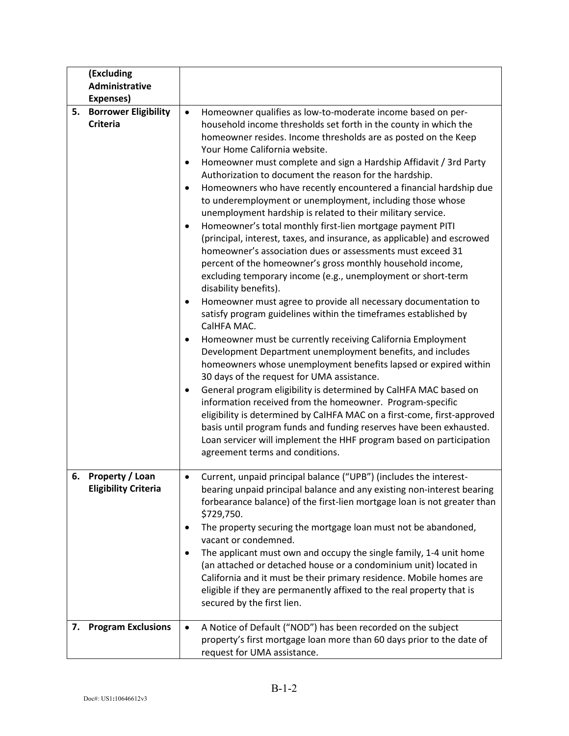|    | (Excluding<br>Administrative                      |                                                                                                                                                                                                                                                                                                                                                                                                                                                                                                                                                                                                                                                                                                                                                                                                                                                                                                                                                                                                                                                                                                                                                                                                                                                                                                                                                                                                                                                                                                                                                                                                                                                                                                                                                                                                    |
|----|---------------------------------------------------|----------------------------------------------------------------------------------------------------------------------------------------------------------------------------------------------------------------------------------------------------------------------------------------------------------------------------------------------------------------------------------------------------------------------------------------------------------------------------------------------------------------------------------------------------------------------------------------------------------------------------------------------------------------------------------------------------------------------------------------------------------------------------------------------------------------------------------------------------------------------------------------------------------------------------------------------------------------------------------------------------------------------------------------------------------------------------------------------------------------------------------------------------------------------------------------------------------------------------------------------------------------------------------------------------------------------------------------------------------------------------------------------------------------------------------------------------------------------------------------------------------------------------------------------------------------------------------------------------------------------------------------------------------------------------------------------------------------------------------------------------------------------------------------------------|
|    | Expenses)                                         |                                                                                                                                                                                                                                                                                                                                                                                                                                                                                                                                                                                                                                                                                                                                                                                                                                                                                                                                                                                                                                                                                                                                                                                                                                                                                                                                                                                                                                                                                                                                                                                                                                                                                                                                                                                                    |
| 5. | <b>Borrower Eligibility</b><br><b>Criteria</b>    | Homeowner qualifies as low-to-moderate income based on per-<br>$\bullet$<br>household income thresholds set forth in the county in which the<br>homeowner resides. Income thresholds are as posted on the Keep<br>Your Home California website.<br>Homeowner must complete and sign a Hardship Affidavit / 3rd Party<br>$\bullet$<br>Authorization to document the reason for the hardship.<br>Homeowners who have recently encountered a financial hardship due<br>$\bullet$<br>to underemployment or unemployment, including those whose<br>unemployment hardship is related to their military service.<br>Homeowner's total monthly first-lien mortgage payment PITI<br>$\bullet$<br>(principal, interest, taxes, and insurance, as applicable) and escrowed<br>homeowner's association dues or assessments must exceed 31<br>percent of the homeowner's gross monthly household income,<br>excluding temporary income (e.g., unemployment or short-term<br>disability benefits).<br>Homeowner must agree to provide all necessary documentation to<br>٠<br>satisfy program guidelines within the timeframes established by<br>CalHFA MAC.<br>Homeowner must be currently receiving California Employment<br>٠<br>Development Department unemployment benefits, and includes<br>homeowners whose unemployment benefits lapsed or expired within<br>30 days of the request for UMA assistance.<br>General program eligibility is determined by CalHFA MAC based on<br>٠<br>information received from the homeowner. Program-specific<br>eligibility is determined by CalHFA MAC on a first-come, first-approved<br>basis until program funds and funding reserves have been exhausted.<br>Loan servicer will implement the HHF program based on participation<br>agreement terms and conditions. |
|    | 6. Property / Loan<br><b>Eligibility Criteria</b> | Current, unpaid principal balance ("UPB") (includes the interest-<br>bearing unpaid principal balance and any existing non-interest bearing<br>forbearance balance) of the first-lien mortgage loan is not greater than<br>\$729,750.<br>The property securing the mortgage loan must not be abandoned,<br>٠<br>vacant or condemned.<br>The applicant must own and occupy the single family, 1-4 unit home<br>$\bullet$<br>(an attached or detached house or a condominium unit) located in<br>California and it must be their primary residence. Mobile homes are<br>eligible if they are permanently affixed to the real property that is<br>secured by the first lien.                                                                                                                                                                                                                                                                                                                                                                                                                                                                                                                                                                                                                                                                                                                                                                                                                                                                                                                                                                                                                                                                                                                          |
| 7. | <b>Program Exclusions</b>                         | A Notice of Default ("NOD") has been recorded on the subject<br>$\bullet$<br>property's first mortgage loan more than 60 days prior to the date of<br>request for UMA assistance.                                                                                                                                                                                                                                                                                                                                                                                                                                                                                                                                                                                                                                                                                                                                                                                                                                                                                                                                                                                                                                                                                                                                                                                                                                                                                                                                                                                                                                                                                                                                                                                                                  |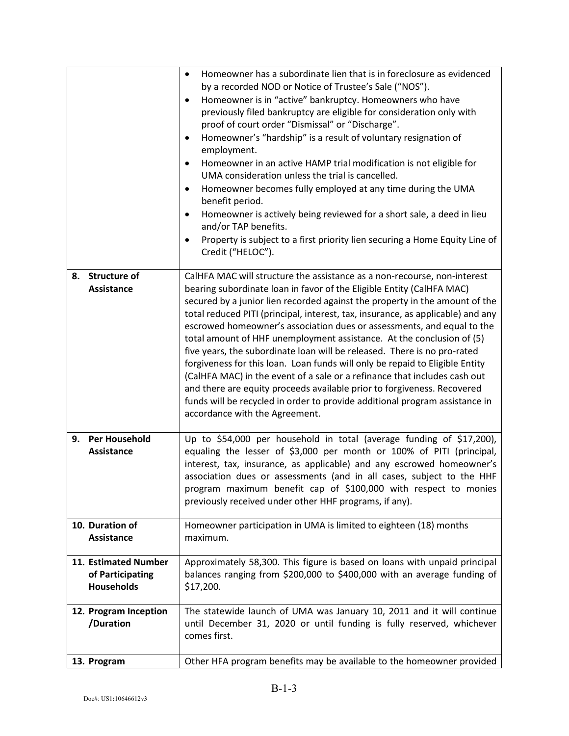|                                                               | Homeowner has a subordinate lien that is in foreclosure as evidenced<br>$\bullet$<br>by a recorded NOD or Notice of Trustee's Sale ("NOS").<br>Homeowner is in "active" bankruptcy. Homeowners who have<br>$\bullet$<br>previously filed bankruptcy are eligible for consideration only with<br>proof of court order "Dismissal" or "Discharge".<br>Homeowner's "hardship" is a result of voluntary resignation of<br>$\bullet$<br>employment.<br>Homeowner in an active HAMP trial modification is not eligible for<br>$\bullet$<br>UMA consideration unless the trial is cancelled.<br>Homeowner becomes fully employed at any time during the UMA<br>$\bullet$<br>benefit period.<br>Homeowner is actively being reviewed for a short sale, a deed in lieu<br>$\bullet$                                                                                                                                  |
|---------------------------------------------------------------|-------------------------------------------------------------------------------------------------------------------------------------------------------------------------------------------------------------------------------------------------------------------------------------------------------------------------------------------------------------------------------------------------------------------------------------------------------------------------------------------------------------------------------------------------------------------------------------------------------------------------------------------------------------------------------------------------------------------------------------------------------------------------------------------------------------------------------------------------------------------------------------------------------------|
|                                                               | and/or TAP benefits.<br>Property is subject to a first priority lien securing a Home Equity Line of<br>$\bullet$<br>Credit ("HELOC").                                                                                                                                                                                                                                                                                                                                                                                                                                                                                                                                                                                                                                                                                                                                                                       |
| 8. Structure of<br>Assistance                                 | CalHFA MAC will structure the assistance as a non-recourse, non-interest<br>bearing subordinate loan in favor of the Eligible Entity (CalHFA MAC)<br>secured by a junior lien recorded against the property in the amount of the<br>total reduced PITI (principal, interest, tax, insurance, as applicable) and any<br>escrowed homeowner's association dues or assessments, and equal to the<br>total amount of HHF unemployment assistance. At the conclusion of (5)<br>five years, the subordinate loan will be released. There is no pro-rated<br>forgiveness for this loan. Loan funds will only be repaid to Eligible Entity<br>(CalHFA MAC) in the event of a sale or a refinance that includes cash out<br>and there are equity proceeds available prior to forgiveness. Recovered<br>funds will be recycled in order to provide additional program assistance in<br>accordance with the Agreement. |
| <b>Per Household</b><br>9.<br>Assistance                      | Up to \$54,000 per household in total (average funding of \$17,200),<br>equaling the lesser of \$3,000 per month or 100% of PITI (principal,<br>interest, tax, insurance, as applicable) and any escrowed homeowner's<br>association dues or assessments (and in all cases, subject to the HHF<br>program maximum benefit cap of \$100,000 with respect to monies<br>previously received under other HHF programs, if any).                                                                                                                                                                                                                                                                                                                                                                                                                                                                                 |
| 10. Duration of<br>Assistance                                 | Homeowner participation in UMA is limited to eighteen (18) months<br>maximum.                                                                                                                                                                                                                                                                                                                                                                                                                                                                                                                                                                                                                                                                                                                                                                                                                               |
| 11. Estimated Number<br>of Participating<br><b>Households</b> | Approximately 58,300. This figure is based on loans with unpaid principal<br>balances ranging from \$200,000 to \$400,000 with an average funding of<br>\$17,200.                                                                                                                                                                                                                                                                                                                                                                                                                                                                                                                                                                                                                                                                                                                                           |
| 12. Program Inception<br>/Duration                            | The statewide launch of UMA was January 10, 2011 and it will continue<br>until December 31, 2020 or until funding is fully reserved, whichever<br>comes first.                                                                                                                                                                                                                                                                                                                                                                                                                                                                                                                                                                                                                                                                                                                                              |
| 13. Program                                                   | Other HFA program benefits may be available to the homeowner provided                                                                                                                                                                                                                                                                                                                                                                                                                                                                                                                                                                                                                                                                                                                                                                                                                                       |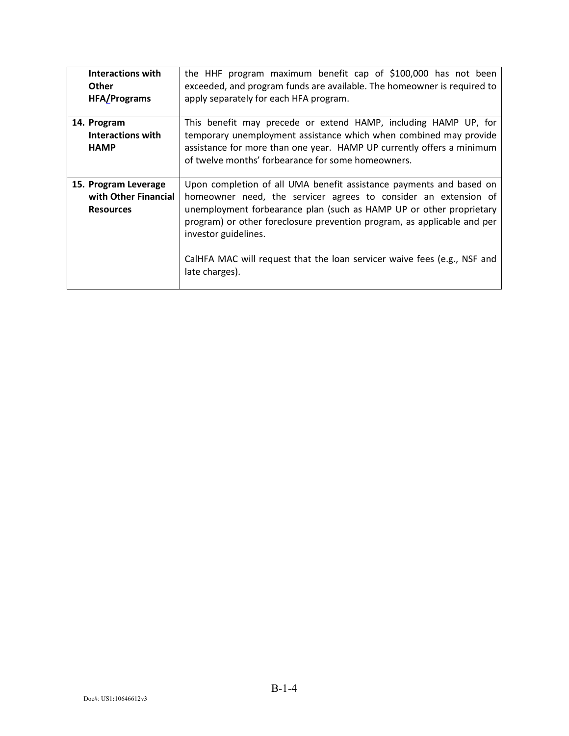| <b>Interactions with</b><br><b>Other</b><br><b>HFA/Programs</b>  | the HHF program maximum benefit cap of \$100,000 has not been<br>exceeded, and program funds are available. The homeowner is required to<br>apply separately for each HFA program.                                                                                                                                                                                                                             |
|------------------------------------------------------------------|----------------------------------------------------------------------------------------------------------------------------------------------------------------------------------------------------------------------------------------------------------------------------------------------------------------------------------------------------------------------------------------------------------------|
| 14. Program<br><b>Interactions with</b><br><b>HAMP</b>           | This benefit may precede or extend HAMP, including HAMP UP, for<br>temporary unemployment assistance which when combined may provide<br>assistance for more than one year. HAMP UP currently offers a minimum<br>of twelve months' forbearance for some homeowners.                                                                                                                                            |
| 15. Program Leverage<br>with Other Financial<br><b>Resources</b> | Upon completion of all UMA benefit assistance payments and based on<br>homeowner need, the servicer agrees to consider an extension of<br>unemployment forbearance plan (such as HAMP UP or other proprietary<br>program) or other foreclosure prevention program, as applicable and per<br>investor guidelines.<br>CalHFA MAC will request that the loan servicer waive fees (e.g., NSF and<br>late charges). |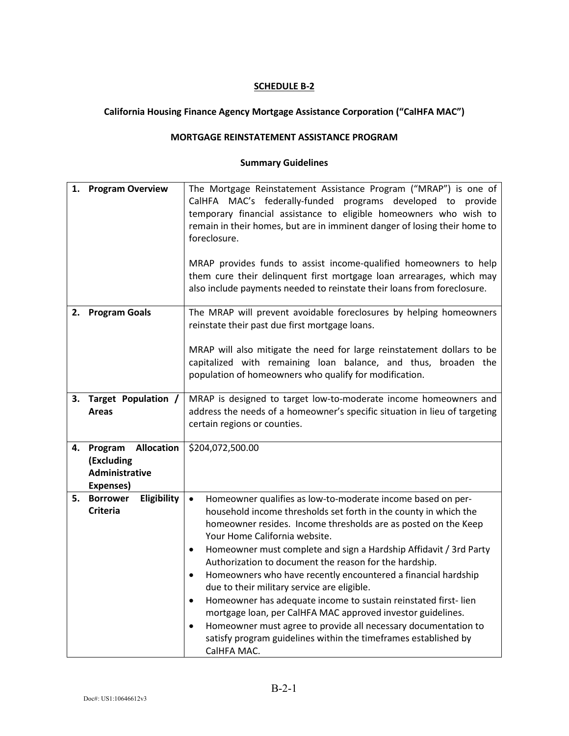## **California Housing Finance Agency Mortgage Assistance Corporation ("CalHFA MAC")**

#### **MORTGAGE REINSTATEMENT ASSISTANCE PROGRAM**

| 1. | <b>Program Overview</b>                                                          | The Mortgage Reinstatement Assistance Program ("MRAP") is one of<br>CalHFA MAC's federally-funded programs developed to provide<br>temporary financial assistance to eligible homeowners who wish to<br>remain in their homes, but are in imminent danger of losing their home to<br>foreclosure.<br>MRAP provides funds to assist income-qualified homeowners to help<br>them cure their delinquent first mortgage loan arrearages, which may<br>also include payments needed to reinstate their loans from foreclosure.                                                                                                                                                                                                                                                                                                               |
|----|----------------------------------------------------------------------------------|-----------------------------------------------------------------------------------------------------------------------------------------------------------------------------------------------------------------------------------------------------------------------------------------------------------------------------------------------------------------------------------------------------------------------------------------------------------------------------------------------------------------------------------------------------------------------------------------------------------------------------------------------------------------------------------------------------------------------------------------------------------------------------------------------------------------------------------------|
| 2. | <b>Program Goals</b>                                                             | The MRAP will prevent avoidable foreclosures by helping homeowners<br>reinstate their past due first mortgage loans.<br>MRAP will also mitigate the need for large reinstatement dollars to be<br>capitalized with remaining loan balance, and thus, broaden the<br>population of homeowners who qualify for modification.                                                                                                                                                                                                                                                                                                                                                                                                                                                                                                              |
| 3. | Target Population /<br><b>Areas</b>                                              | MRAP is designed to target low-to-moderate income homeowners and<br>address the needs of a homeowner's specific situation in lieu of targeting<br>certain regions or counties.                                                                                                                                                                                                                                                                                                                                                                                                                                                                                                                                                                                                                                                          |
| 4. | <b>Allocation</b><br>Program<br>(Excluding<br><b>Administrative</b><br>Expenses) | \$204,072,500.00                                                                                                                                                                                                                                                                                                                                                                                                                                                                                                                                                                                                                                                                                                                                                                                                                        |
| 5. | <b>Borrower</b><br>Eligibility<br><b>Criteria</b>                                | Homeowner qualifies as low-to-moderate income based on per-<br>$\bullet$<br>household income thresholds set forth in the county in which the<br>homeowner resides. Income thresholds are as posted on the Keep<br>Your Home California website.<br>Homeowner must complete and sign a Hardship Affidavit / 3rd Party<br>$\bullet$<br>Authorization to document the reason for the hardship.<br>Homeowners who have recently encountered a financial hardship<br>$\bullet$<br>due to their military service are eligible.<br>Homeowner has adequate income to sustain reinstated first-lien<br>$\bullet$<br>mortgage loan, per CalHFA MAC approved investor guidelines.<br>Homeowner must agree to provide all necessary documentation to<br>$\bullet$<br>satisfy program guidelines within the timeframes established by<br>CalHFA MAC. |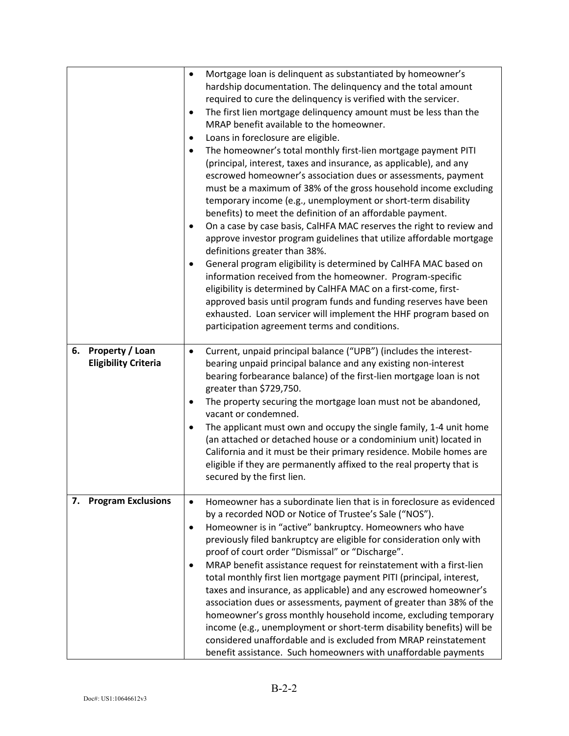|    |                                                       | $\bullet$<br>٠<br>$\bullet$<br>$\bullet$<br>$\bullet$<br>$\bullet$ | Mortgage loan is delinquent as substantiated by homeowner's<br>hardship documentation. The delinquency and the total amount<br>required to cure the delinquency is verified with the servicer.<br>The first lien mortgage delinquency amount must be less than the<br>MRAP benefit available to the homeowner.<br>Loans in foreclosure are eligible.<br>The homeowner's total monthly first-lien mortgage payment PITI<br>(principal, interest, taxes and insurance, as applicable), and any<br>escrowed homeowner's association dues or assessments, payment<br>must be a maximum of 38% of the gross household income excluding<br>temporary income (e.g., unemployment or short-term disability<br>benefits) to meet the definition of an affordable payment.<br>On a case by case basis, CalHFA MAC reserves the right to review and<br>approve investor program guidelines that utilize affordable mortgage<br>definitions greater than 38%.<br>General program eligibility is determined by CalHFA MAC based on<br>information received from the homeowner. Program-specific<br>eligibility is determined by CalHFA MAC on a first-come, first-<br>approved basis until program funds and funding reserves have been<br>exhausted. Loan servicer will implement the HHF program based on<br>participation agreement terms and conditions. |
|----|-------------------------------------------------------|--------------------------------------------------------------------|-------------------------------------------------------------------------------------------------------------------------------------------------------------------------------------------------------------------------------------------------------------------------------------------------------------------------------------------------------------------------------------------------------------------------------------------------------------------------------------------------------------------------------------------------------------------------------------------------------------------------------------------------------------------------------------------------------------------------------------------------------------------------------------------------------------------------------------------------------------------------------------------------------------------------------------------------------------------------------------------------------------------------------------------------------------------------------------------------------------------------------------------------------------------------------------------------------------------------------------------------------------------------------------------------------------------------------------------------|
| 6. | <b>Property / Loan</b><br><b>Eligibility Criteria</b> | $\bullet$                                                          | Current, unpaid principal balance ("UPB") (includes the interest-<br>bearing unpaid principal balance and any existing non-interest<br>bearing forbearance balance) of the first-lien mortgage loan is not<br>greater than \$729,750.                                                                                                                                                                                                                                                                                                                                                                                                                                                                                                                                                                                                                                                                                                                                                                                                                                                                                                                                                                                                                                                                                                           |
|    |                                                       | $\bullet$                                                          | The property securing the mortgage loan must not be abandoned,<br>vacant or condemned.                                                                                                                                                                                                                                                                                                                                                                                                                                                                                                                                                                                                                                                                                                                                                                                                                                                                                                                                                                                                                                                                                                                                                                                                                                                          |
|    |                                                       | $\bullet$                                                          | The applicant must own and occupy the single family, 1-4 unit home<br>(an attached or detached house or a condominium unit) located in<br>California and it must be their primary residence. Mobile homes are<br>eligible if they are permanently affixed to the real property that is<br>secured by the first lien.                                                                                                                                                                                                                                                                                                                                                                                                                                                                                                                                                                                                                                                                                                                                                                                                                                                                                                                                                                                                                            |
|    | 7. Program Exclusions                                 | $\bullet$<br>$\bullet$<br>$\bullet$                                | Homeowner has a subordinate lien that is in foreclosure as evidenced<br>by a recorded NOD or Notice of Trustee's Sale ("NOS").<br>Homeowner is in "active" bankruptcy. Homeowners who have<br>previously filed bankruptcy are eligible for consideration only with<br>proof of court order "Dismissal" or "Discharge".<br>MRAP benefit assistance request for reinstatement with a first-lien<br>total monthly first lien mortgage payment PITI (principal, interest,<br>taxes and insurance, as applicable) and any escrowed homeowner's<br>association dues or assessments, payment of greater than 38% of the<br>homeowner's gross monthly household income, excluding temporary<br>income (e.g., unemployment or short-term disability benefits) will be<br>considered unaffordable and is excluded from MRAP reinstatement<br>benefit assistance. Such homeowners with unaffordable payments                                                                                                                                                                                                                                                                                                                                                                                                                                               |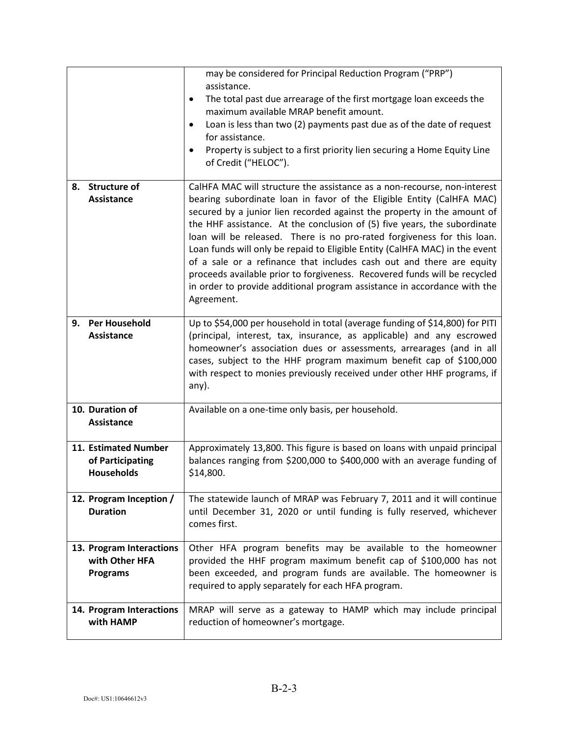|                                                               | may be considered for Principal Reduction Program ("PRP")<br>assistance.<br>The total past due arrearage of the first mortgage loan exceeds the<br>٠<br>maximum available MRAP benefit amount.<br>Loan is less than two (2) payments past due as of the date of request<br>$\bullet$<br>for assistance.<br>Property is subject to a first priority lien securing a Home Equity Line<br>٠<br>of Credit ("HELOC").                                                                                                                                                                                                                                                                                                  |
|---------------------------------------------------------------|-------------------------------------------------------------------------------------------------------------------------------------------------------------------------------------------------------------------------------------------------------------------------------------------------------------------------------------------------------------------------------------------------------------------------------------------------------------------------------------------------------------------------------------------------------------------------------------------------------------------------------------------------------------------------------------------------------------------|
| 8. Structure of<br><b>Assistance</b>                          | CalHFA MAC will structure the assistance as a non-recourse, non-interest<br>bearing subordinate loan in favor of the Eligible Entity (CalHFA MAC)<br>secured by a junior lien recorded against the property in the amount of<br>the HHF assistance. At the conclusion of (5) five years, the subordinate<br>loan will be released. There is no pro-rated forgiveness for this loan.<br>Loan funds will only be repaid to Eligible Entity (CalHFA MAC) in the event<br>of a sale or a refinance that includes cash out and there are equity<br>proceeds available prior to forgiveness. Recovered funds will be recycled<br>in order to provide additional program assistance in accordance with the<br>Agreement. |
| <b>Per Household</b><br>9.<br><b>Assistance</b>               | Up to \$54,000 per household in total (average funding of \$14,800) for PITI<br>(principal, interest, tax, insurance, as applicable) and any escrowed<br>homeowner's association dues or assessments, arrearages (and in all<br>cases, subject to the HHF program maximum benefit cap of \$100,000<br>with respect to monies previously received under other HHF programs, if<br>any).                                                                                                                                                                                                                                                                                                                            |
| 10. Duration of<br><b>Assistance</b>                          | Available on a one-time only basis, per household.                                                                                                                                                                                                                                                                                                                                                                                                                                                                                                                                                                                                                                                                |
| 11. Estimated Number<br>of Participating<br><b>Households</b> | Approximately 13,800. This figure is based on loans with unpaid principal<br>balances ranging from \$200,000 to \$400,000 with an average funding of<br>\$14,800.                                                                                                                                                                                                                                                                                                                                                                                                                                                                                                                                                 |
| 12. Program Inception /<br><b>Duration</b>                    | The statewide launch of MRAP was February 7, 2011 and it will continue<br>until December 31, 2020 or until funding is fully reserved, whichever<br>comes first.                                                                                                                                                                                                                                                                                                                                                                                                                                                                                                                                                   |
| 13. Program Interactions<br>with Other HFA<br><b>Programs</b> | Other HFA program benefits may be available to the homeowner<br>provided the HHF program maximum benefit cap of \$100,000 has not<br>been exceeded, and program funds are available. The homeowner is<br>required to apply separately for each HFA program.                                                                                                                                                                                                                                                                                                                                                                                                                                                       |
| 14. Program Interactions<br>with HAMP                         | MRAP will serve as a gateway to HAMP which may include principal<br>reduction of homeowner's mortgage.                                                                                                                                                                                                                                                                                                                                                                                                                                                                                                                                                                                                            |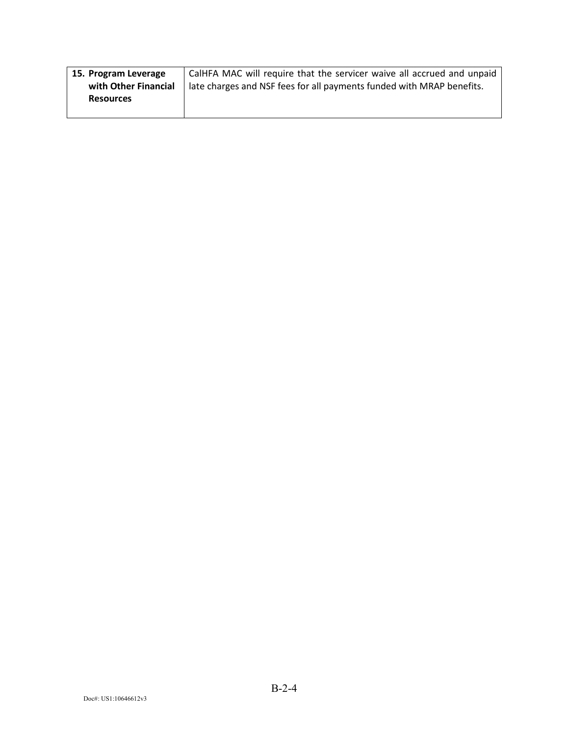| 15. Program Leverage | CalHFA MAC will require that the servicer waive all accrued and unpaid |
|----------------------|------------------------------------------------------------------------|
| with Other Financial | late charges and NSF fees for all payments funded with MRAP benefits.  |
| <b>Resources</b>     |                                                                        |
|                      |                                                                        |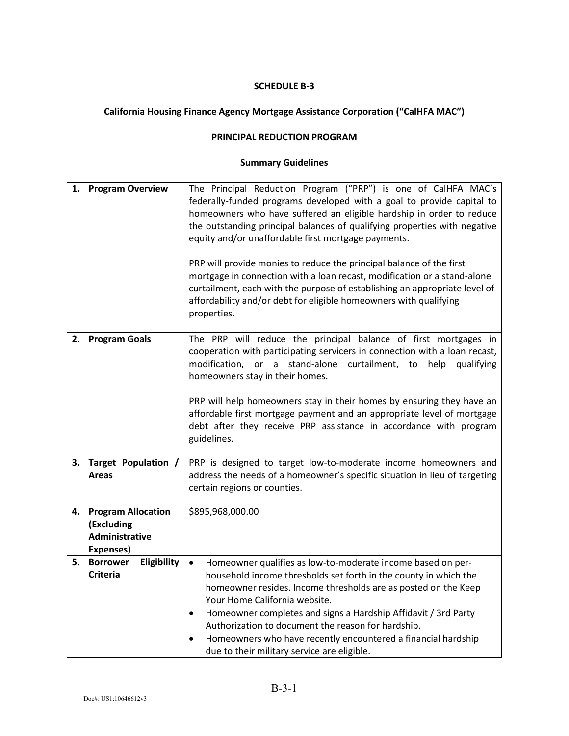## **California Housing Finance Agency Mortgage Assistance Corporation ("CalHFA MAC")**

#### **PRINCIPAL REDUCTION PROGRAM**

| 1. | <b>Program Overview</b>                                                | The Principal Reduction Program ("PRP") is one of CalHFA MAC's<br>federally-funded programs developed with a goal to provide capital to<br>homeowners who have suffered an eligible hardship in order to reduce<br>the outstanding principal balances of qualifying properties with negative<br>equity and/or unaffordable first mortgage payments.<br>PRP will provide monies to reduce the principal balance of the first<br>mortgage in connection with a loan recast, modification or a stand-alone<br>curtailment, each with the purpose of establishing an appropriate level of<br>affordability and/or debt for eligible homeowners with qualifying<br>properties. |
|----|------------------------------------------------------------------------|---------------------------------------------------------------------------------------------------------------------------------------------------------------------------------------------------------------------------------------------------------------------------------------------------------------------------------------------------------------------------------------------------------------------------------------------------------------------------------------------------------------------------------------------------------------------------------------------------------------------------------------------------------------------------|
| 2. | <b>Program Goals</b>                                                   | The PRP will reduce the principal balance of first mortgages in<br>cooperation with participating servicers in connection with a loan recast,<br>modification, or a stand-alone curtailment, to<br>help<br>qualifying<br>homeowners stay in their homes.<br>PRP will help homeowners stay in their homes by ensuring they have an<br>affordable first mortgage payment and an appropriate level of mortgage<br>debt after they receive PRP assistance in accordance with program<br>guidelines.                                                                                                                                                                           |
|    | 3. Target Population /<br><b>Areas</b>                                 | PRP is designed to target low-to-moderate income homeowners and<br>address the needs of a homeowner's specific situation in lieu of targeting<br>certain regions or counties.                                                                                                                                                                                                                                                                                                                                                                                                                                                                                             |
| 4. | <b>Program Allocation</b><br>(Excluding<br>Administrative<br>Expenses) | \$895,968,000.00                                                                                                                                                                                                                                                                                                                                                                                                                                                                                                                                                                                                                                                          |
| 5. | Eligibility<br><b>Borrower</b><br><b>Criteria</b>                      | Homeowner qualifies as low-to-moderate income based on per-<br>$\bullet$<br>household income thresholds set forth in the county in which the<br>homeowner resides. Income thresholds are as posted on the Keep<br>Your Home California website.<br>Homeowner completes and signs a Hardship Affidavit / 3rd Party<br>$\bullet$<br>Authorization to document the reason for hardship.<br>Homeowners who have recently encountered a financial hardship<br>due to their military service are eligible.                                                                                                                                                                      |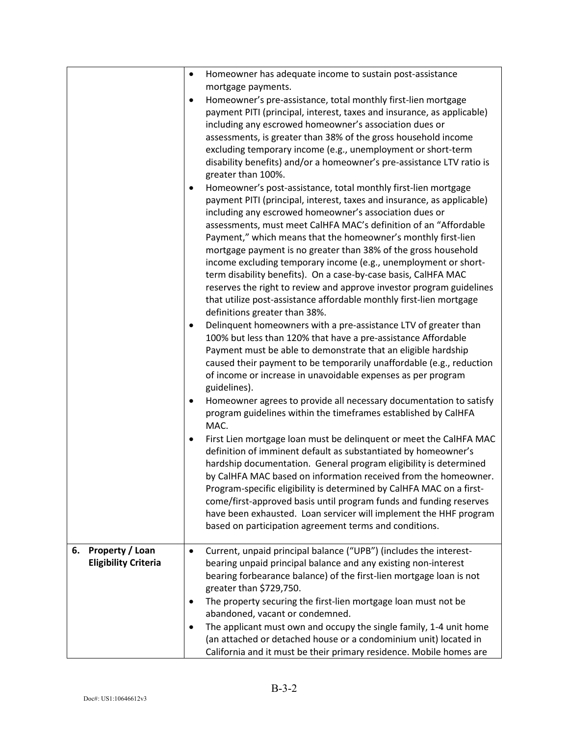| ٠                                                    | Homeowner has adequate income to sustain post-assistance<br>mortgage payments.                                                                                                                                                                                                                                                                                                                                                                                                                                                                                                                                                                                                                                                 |
|------------------------------------------------------|--------------------------------------------------------------------------------------------------------------------------------------------------------------------------------------------------------------------------------------------------------------------------------------------------------------------------------------------------------------------------------------------------------------------------------------------------------------------------------------------------------------------------------------------------------------------------------------------------------------------------------------------------------------------------------------------------------------------------------|
| $\bullet$                                            | Homeowner's pre-assistance, total monthly first-lien mortgage<br>payment PITI (principal, interest, taxes and insurance, as applicable)<br>including any escrowed homeowner's association dues or<br>assessments, is greater than 38% of the gross household income<br>excluding temporary income (e.g., unemployment or short-term<br>disability benefits) and/or a homeowner's pre-assistance LTV ratio is<br>greater than 100%.                                                                                                                                                                                                                                                                                             |
| $\bullet$                                            | Homeowner's post-assistance, total monthly first-lien mortgage<br>payment PITI (principal, interest, taxes and insurance, as applicable)<br>including any escrowed homeowner's association dues or<br>assessments, must meet CalHFA MAC's definition of an "Affordable<br>Payment," which means that the homeowner's monthly first-lien<br>mortgage payment is no greater than 38% of the gross household<br>income excluding temporary income (e.g., unemployment or short-<br>term disability benefits). On a case-by-case basis, CalHFA MAC<br>reserves the right to review and approve investor program guidelines<br>that utilize post-assistance affordable monthly first-lien mortgage<br>definitions greater than 38%. |
| $\bullet$                                            | Delinquent homeowners with a pre-assistance LTV of greater than<br>100% but less than 120% that have a pre-assistance Affordable<br>Payment must be able to demonstrate that an eligible hardship<br>caused their payment to be temporarily unaffordable (e.g., reduction<br>of income or increase in unavoidable expenses as per program<br>guidelines).                                                                                                                                                                                                                                                                                                                                                                      |
| $\bullet$                                            | Homeowner agrees to provide all necessary documentation to satisfy<br>program guidelines within the timeframes established by CalHFA<br>MAC.                                                                                                                                                                                                                                                                                                                                                                                                                                                                                                                                                                                   |
| $\bullet$                                            | First Lien mortgage loan must be delinquent or meet the CalHFA MAC<br>definition of imminent default as substantiated by homeowner's<br>hardship documentation. General program eligibility is determined<br>by CalHFA MAC based on information received from the homeowner.<br>Program-specific eligibility is determined by CalHFA MAC on a first-<br>come/first-approved basis until program funds and funding reserves<br>have been exhausted. Loan servicer will implement the HHF program<br>based on participation agreement terms and conditions.                                                                                                                                                                      |
| Property / Loan<br>6.<br><b>Eligibility Criteria</b> | Current, unpaid principal balance ("UPB") (includes the interest-<br>bearing unpaid principal balance and any existing non-interest<br>bearing forbearance balance) of the first-lien mortgage loan is not<br>greater than \$729,750.                                                                                                                                                                                                                                                                                                                                                                                                                                                                                          |
| ٠                                                    | The property securing the first-lien mortgage loan must not be<br>abandoned, vacant or condemned.                                                                                                                                                                                                                                                                                                                                                                                                                                                                                                                                                                                                                              |
| $\bullet$                                            | The applicant must own and occupy the single family, 1-4 unit home<br>(an attached or detached house or a condominium unit) located in<br>California and it must be their primary residence. Mobile homes are                                                                                                                                                                                                                                                                                                                                                                                                                                                                                                                  |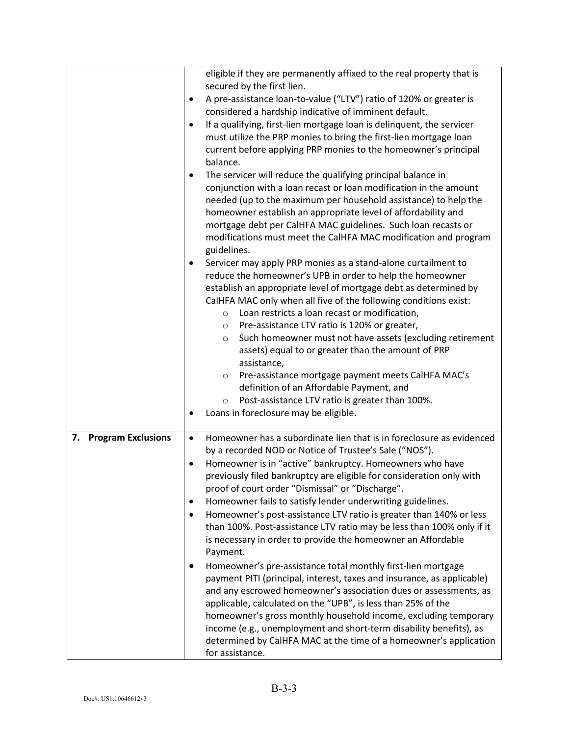|                       | eligible if they are permanently affixed to the real property that is<br>secured by the first lien. |
|-----------------------|-----------------------------------------------------------------------------------------------------|
|                       | A pre-assistance loan-to-value ("LTV") ratio of 120% or greater is<br>٠                             |
|                       | considered a hardship indicative of imminent default.                                               |
|                       | If a qualifying, first-lien mortgage loan is delinquent, the servicer<br>٠                          |
|                       | must utilize the PRP monies to bring the first-lien mortgage loan                                   |
|                       | current before applying PRP monies to the homeowner's principal                                     |
|                       | balance.                                                                                            |
|                       | The servicer will reduce the qualifying principal balance in<br>٠                                   |
|                       | conjunction with a loan recast or loan modification in the amount                                   |
|                       | needed (up to the maximum per household assistance) to help the                                     |
|                       | homeowner establish an appropriate level of affordability and                                       |
|                       | mortgage debt per CalHFA MAC guidelines. Such loan recasts or                                       |
|                       | modifications must meet the CalHFA MAC modification and program                                     |
|                       | guidelines.                                                                                         |
|                       | Servicer may apply PRP monies as a stand-alone curtailment to                                       |
|                       | reduce the homeowner's UPB in order to help the homeowner                                           |
|                       | establish an appropriate level of mortgage debt as determined by                                    |
|                       | CalHFA MAC only when all five of the following conditions exist:                                    |
|                       | Loan restricts a loan recast or modification,<br>$\circ$                                            |
|                       | Pre-assistance LTV ratio is 120% or greater,<br>$\circ$                                             |
|                       | Such homeowner must not have assets (excluding retirement<br>$\circ$                                |
|                       | assets) equal to or greater than the amount of PRP                                                  |
|                       | assistance,                                                                                         |
|                       | Pre-assistance mortgage payment meets CalHFA MAC's<br>$\circ$                                       |
|                       | definition of an Affordable Payment, and                                                            |
|                       | Post-assistance LTV ratio is greater than 100%.<br>$\circ$                                          |
|                       | Loans in foreclosure may be eligible.                                                               |
| 7. Program Exclusions | Homeowner has a subordinate lien that is in foreclosure as evidenced<br>$\bullet$                   |
|                       | by a recorded NOD or Notice of Trustee's Sale ("NOS").                                              |
|                       | Homeowner is in "active" bankruptcy. Homeowners who have                                            |
|                       | previously filed bankruptcy are eligible for consideration only with                                |
|                       | proof of court order "Dismissal" or "Discharge".                                                    |
|                       | Homeowner fails to satisfy lender underwriting guidelines.                                          |
|                       | Homeowner's post-assistance LTV ratio is greater than 140% or less<br>$\bullet$                     |
|                       | than 100%. Post-assistance LTV ratio may be less than 100% only if it                               |
|                       | is necessary in order to provide the homeowner an Affordable                                        |
|                       | Payment.                                                                                            |
|                       | Homeowner's pre-assistance total monthly first-lien mortgage<br>٠                                   |
|                       | payment PITI (principal, interest, taxes and insurance, as applicable)                              |
|                       | and any escrowed homeowner's association dues or assessments, as                                    |
|                       | applicable, calculated on the "UPB", is less than 25% of the                                        |
|                       | homeowner's gross monthly household income, excluding temporary                                     |
|                       | income (e.g., unemployment and short-term disability benefits), as                                  |
|                       | determined by CalHFA MAC at the time of a homeowner's application                                   |
|                       | for assistance.                                                                                     |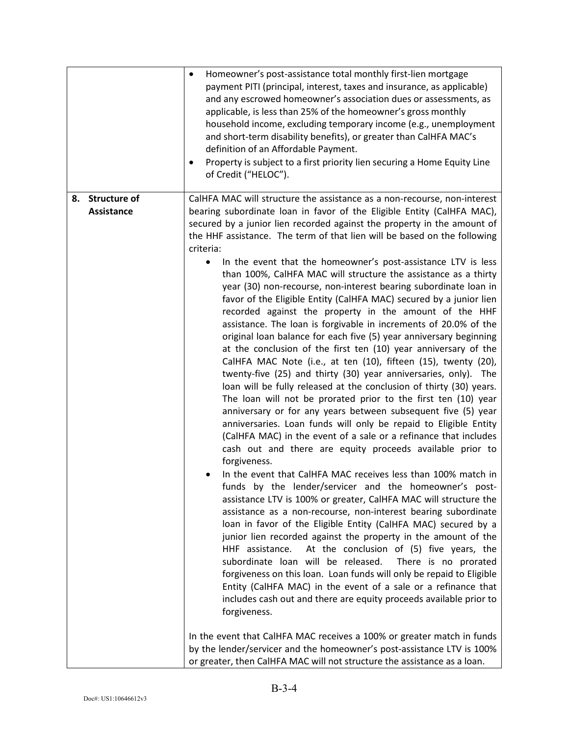|                                      | Homeowner's post-assistance total monthly first-lien mortgage<br>$\bullet$<br>payment PITI (principal, interest, taxes and insurance, as applicable)<br>and any escrowed homeowner's association dues or assessments, as<br>applicable, is less than 25% of the homeowner's gross monthly<br>household income, excluding temporary income (e.g., unemployment<br>and short-term disability benefits), or greater than CalHFA MAC's<br>definition of an Affordable Payment.<br>Property is subject to a first priority lien securing a Home Equity Line<br>of Credit ("HELOC").                                                                                                                                                                                                                                                                                                                                                                                                                                                                                                                                                                                                                                                                                                                                                                                                                                                                                                                                                                                                                                                                                                                                                                                                                                                                                                                                                                                                                                                                                                                                                                                                                                                                                                                                                                                        |
|--------------------------------------|-----------------------------------------------------------------------------------------------------------------------------------------------------------------------------------------------------------------------------------------------------------------------------------------------------------------------------------------------------------------------------------------------------------------------------------------------------------------------------------------------------------------------------------------------------------------------------------------------------------------------------------------------------------------------------------------------------------------------------------------------------------------------------------------------------------------------------------------------------------------------------------------------------------------------------------------------------------------------------------------------------------------------------------------------------------------------------------------------------------------------------------------------------------------------------------------------------------------------------------------------------------------------------------------------------------------------------------------------------------------------------------------------------------------------------------------------------------------------------------------------------------------------------------------------------------------------------------------------------------------------------------------------------------------------------------------------------------------------------------------------------------------------------------------------------------------------------------------------------------------------------------------------------------------------------------------------------------------------------------------------------------------------------------------------------------------------------------------------------------------------------------------------------------------------------------------------------------------------------------------------------------------------------------------------------------------------------------------------------------------------|
| 8. Structure of<br><b>Assistance</b> | CalHFA MAC will structure the assistance as a non-recourse, non-interest<br>bearing subordinate loan in favor of the Eligible Entity (CalHFA MAC),<br>secured by a junior lien recorded against the property in the amount of<br>the HHF assistance. The term of that lien will be based on the following<br>criteria:<br>In the event that the homeowner's post-assistance LTV is less<br>than 100%, CalHFA MAC will structure the assistance as a thirty<br>year (30) non-recourse, non-interest bearing subordinate loan in<br>favor of the Eligible Entity (CalHFA MAC) secured by a junior lien<br>recorded against the property in the amount of the HHF<br>assistance. The loan is forgivable in increments of 20.0% of the<br>original loan balance for each five (5) year anniversary beginning<br>at the conclusion of the first ten (10) year anniversary of the<br>CalHFA MAC Note (i.e., at ten (10), fifteen (15), twenty (20),<br>twenty-five (25) and thirty (30) year anniversaries, only). The<br>loan will be fully released at the conclusion of thirty (30) years.<br>The loan will not be prorated prior to the first ten (10) year<br>anniversary or for any years between subsequent five (5) year<br>anniversaries. Loan funds will only be repaid to Eligible Entity<br>(CalHFA MAC) in the event of a sale or a refinance that includes<br>cash out and there are equity proceeds available prior to<br>forgiveness.<br>In the event that CalHFA MAC receives less than 100% match in<br>funds by the lender/servicer and the homeowner's post-<br>assistance LTV is 100% or greater, CalHFA MAC will structure the<br>assistance as a non-recourse, non-interest bearing subordinate<br>loan in favor of the Eligible Entity (CalHFA MAC) secured by a<br>junior lien recorded against the property in the amount of the<br>At the conclusion of (5) five years, the<br>HHF assistance.<br>subordinate loan will be released.<br>There is no prorated<br>forgiveness on this loan. Loan funds will only be repaid to Eligible<br>Entity (CalHFA MAC) in the event of a sale or a refinance that<br>includes cash out and there are equity proceeds available prior to<br>forgiveness.<br>In the event that CalHFA MAC receives a 100% or greater match in funds<br>by the lender/servicer and the homeowner's post-assistance LTV is 100% |
|                                      | or greater, then CalHFA MAC will not structure the assistance as a loan.                                                                                                                                                                                                                                                                                                                                                                                                                                                                                                                                                                                                                                                                                                                                                                                                                                                                                                                                                                                                                                                                                                                                                                                                                                                                                                                                                                                                                                                                                                                                                                                                                                                                                                                                                                                                                                                                                                                                                                                                                                                                                                                                                                                                                                                                                              |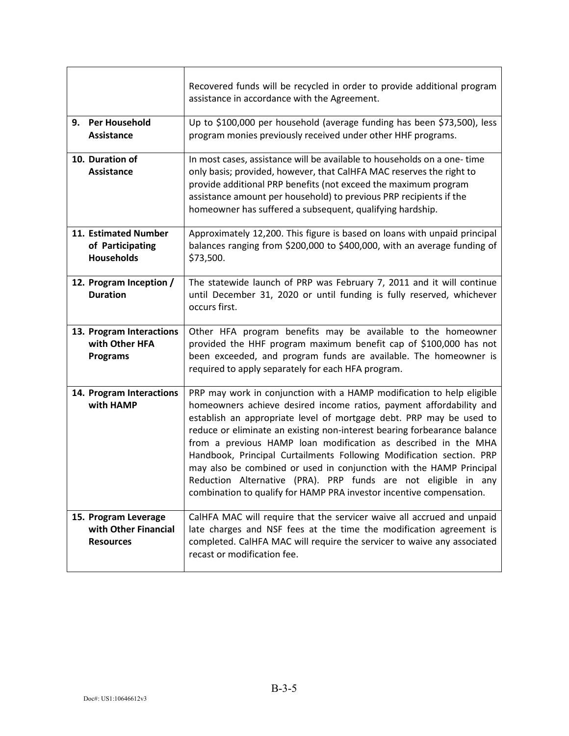|                                                                  | Recovered funds will be recycled in order to provide additional program<br>assistance in accordance with the Agreement.                                                                                                                                                                                                                                                                                                                                                                                                                                                                                                                                    |
|------------------------------------------------------------------|------------------------------------------------------------------------------------------------------------------------------------------------------------------------------------------------------------------------------------------------------------------------------------------------------------------------------------------------------------------------------------------------------------------------------------------------------------------------------------------------------------------------------------------------------------------------------------------------------------------------------------------------------------|
| 9. Per Household<br>Assistance                                   | Up to \$100,000 per household (average funding has been \$73,500), less<br>program monies previously received under other HHF programs.                                                                                                                                                                                                                                                                                                                                                                                                                                                                                                                    |
| 10. Duration of<br>Assistance                                    | In most cases, assistance will be available to households on a one-time<br>only basis; provided, however, that CalHFA MAC reserves the right to<br>provide additional PRP benefits (not exceed the maximum program<br>assistance amount per household) to previous PRP recipients if the<br>homeowner has suffered a subsequent, qualifying hardship.                                                                                                                                                                                                                                                                                                      |
| 11. Estimated Number<br>of Participating<br><b>Households</b>    | Approximately 12,200. This figure is based on loans with unpaid principal<br>balances ranging from \$200,000 to \$400,000, with an average funding of<br>\$73,500.                                                                                                                                                                                                                                                                                                                                                                                                                                                                                         |
| 12. Program Inception /<br><b>Duration</b>                       | The statewide launch of PRP was February 7, 2011 and it will continue<br>until December 31, 2020 or until funding is fully reserved, whichever<br>occurs first.                                                                                                                                                                                                                                                                                                                                                                                                                                                                                            |
| 13. Program Interactions<br>with Other HFA<br><b>Programs</b>    | Other HFA program benefits may be available to the homeowner<br>provided the HHF program maximum benefit cap of \$100,000 has not<br>been exceeded, and program funds are available. The homeowner is<br>required to apply separately for each HFA program.                                                                                                                                                                                                                                                                                                                                                                                                |
| 14. Program Interactions<br>with HAMP                            | PRP may work in conjunction with a HAMP modification to help eligible<br>homeowners achieve desired income ratios, payment affordability and<br>establish an appropriate level of mortgage debt. PRP may be used to<br>reduce or eliminate an existing non-interest bearing forbearance balance<br>from a previous HAMP loan modification as described in the MHA<br>Handbook, Principal Curtailments Following Modification section. PRP<br>may also be combined or used in conjunction with the HAMP Principal<br>Reduction Alternative (PRA). PRP funds are not eligible in any<br>combination to qualify for HAMP PRA investor incentive compensation. |
| 15. Program Leverage<br>with Other Financial<br><b>Resources</b> | CalHFA MAC will require that the servicer waive all accrued and unpaid<br>late charges and NSF fees at the time the modification agreement is<br>completed. CalHFA MAC will require the servicer to waive any associated<br>recast or modification fee.                                                                                                                                                                                                                                                                                                                                                                                                    |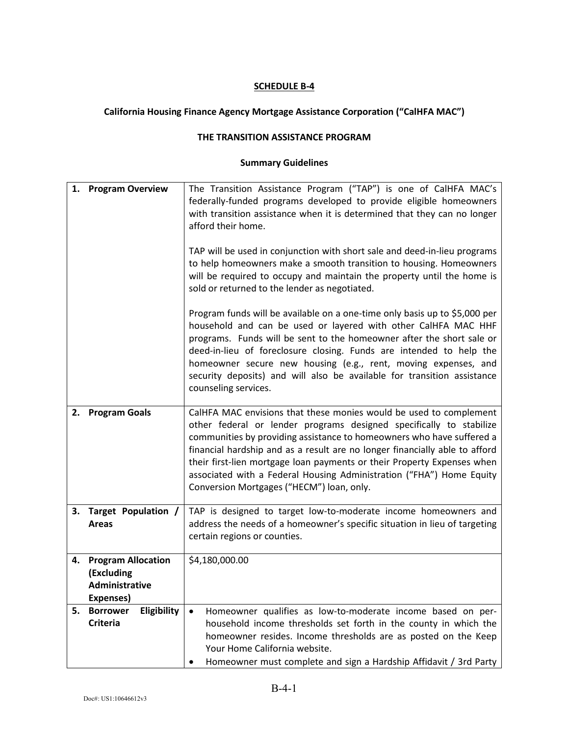## **California Housing Finance Agency Mortgage Assistance Corporation ("CalHFA MAC")**

#### **THE TRANSITION ASSISTANCE PROGRAM**

| 1. | <b>Program Overview</b>                                                | The Transition Assistance Program ("TAP") is one of CalHFA MAC's<br>federally-funded programs developed to provide eligible homeowners<br>with transition assistance when it is determined that they can no longer<br>afford their home.<br>TAP will be used in conjunction with short sale and deed-in-lieu programs<br>to help homeowners make a smooth transition to housing. Homeowners<br>will be required to occupy and maintain the property until the home is<br>sold or returned to the lender as negotiated. |
|----|------------------------------------------------------------------------|------------------------------------------------------------------------------------------------------------------------------------------------------------------------------------------------------------------------------------------------------------------------------------------------------------------------------------------------------------------------------------------------------------------------------------------------------------------------------------------------------------------------|
|    |                                                                        | Program funds will be available on a one-time only basis up to \$5,000 per<br>household and can be used or layered with other CalHFA MAC HHF<br>programs. Funds will be sent to the homeowner after the short sale or<br>deed-in-lieu of foreclosure closing. Funds are intended to help the<br>homeowner secure new housing (e.g., rent, moving expenses, and<br>security deposits) and will also be available for transition assistance<br>counseling services.                                                      |
| 2. | <b>Program Goals</b>                                                   | CalHFA MAC envisions that these monies would be used to complement<br>other federal or lender programs designed specifically to stabilize<br>communities by providing assistance to homeowners who have suffered a<br>financial hardship and as a result are no longer financially able to afford<br>their first-lien mortgage loan payments or their Property Expenses when<br>associated with a Federal Housing Administration ("FHA") Home Equity<br>Conversion Mortgages ("HECM") loan, only.                      |
| 3. | Target Population /<br><b>Areas</b>                                    | TAP is designed to target low-to-moderate income homeowners and<br>address the needs of a homeowner's specific situation in lieu of targeting<br>certain regions or counties.                                                                                                                                                                                                                                                                                                                                          |
| 4. | <b>Program Allocation</b><br>(Excluding<br>Administrative<br>Expenses) | \$4,180,000.00                                                                                                                                                                                                                                                                                                                                                                                                                                                                                                         |
| 5. | Eligibility<br><b>Borrower</b><br><b>Criteria</b>                      | Homeowner qualifies as low-to-moderate income based on per-<br>$\bullet$<br>household income thresholds set forth in the county in which the<br>homeowner resides. Income thresholds are as posted on the Keep<br>Your Home California website.<br>Homeowner must complete and sign a Hardship Affidavit / 3rd Party                                                                                                                                                                                                   |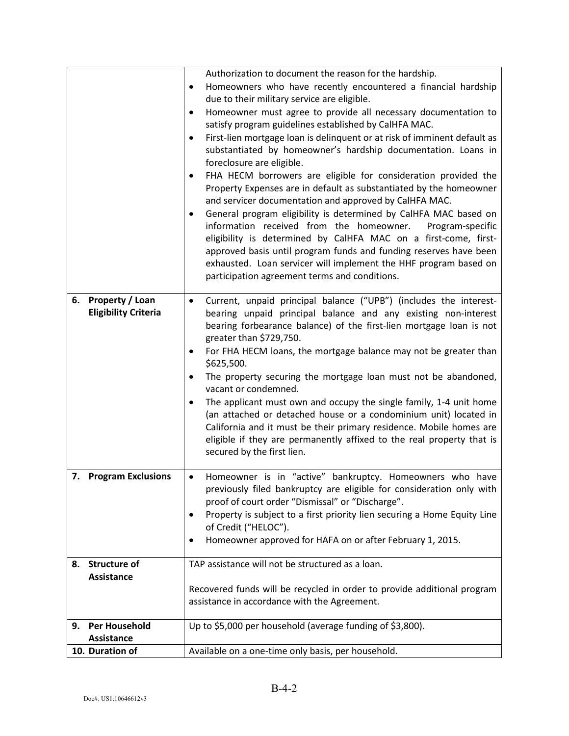|    |                                                       | Authorization to document the reason for the hardship.<br>Homeowners who have recently encountered a financial hardship<br>$\bullet$<br>due to their military service are eligible.<br>Homeowner must agree to provide all necessary documentation to<br>٠<br>satisfy program guidelines established by CalHFA MAC.<br>First-lien mortgage loan is delinquent or at risk of imminent default as<br>$\bullet$<br>substantiated by homeowner's hardship documentation. Loans in<br>foreclosure are eligible.<br>FHA HECM borrowers are eligible for consideration provided the<br>$\bullet$<br>Property Expenses are in default as substantiated by the homeowner<br>and servicer documentation and approved by CalHFA MAC.<br>General program eligibility is determined by CalHFA MAC based on<br>$\bullet$<br>information received from the homeowner.<br>Program-specific |
|----|-------------------------------------------------------|----------------------------------------------------------------------------------------------------------------------------------------------------------------------------------------------------------------------------------------------------------------------------------------------------------------------------------------------------------------------------------------------------------------------------------------------------------------------------------------------------------------------------------------------------------------------------------------------------------------------------------------------------------------------------------------------------------------------------------------------------------------------------------------------------------------------------------------------------------------------------|
|    |                                                       | eligibility is determined by CalHFA MAC on a first-come, first-<br>approved basis until program funds and funding reserves have been<br>exhausted. Loan servicer will implement the HHF program based on<br>participation agreement terms and conditions.                                                                                                                                                                                                                                                                                                                                                                                                                                                                                                                                                                                                                  |
| 6. | <b>Property / Loan</b><br><b>Eligibility Criteria</b> | Current, unpaid principal balance ("UPB") (includes the interest-<br>$\bullet$<br>bearing unpaid principal balance and any existing non-interest<br>bearing forbearance balance) of the first-lien mortgage loan is not<br>greater than \$729,750.<br>For FHA HECM loans, the mortgage balance may not be greater than<br>\$625,500.<br>The property securing the mortgage loan must not be abandoned,<br>$\bullet$<br>vacant or condemned.<br>The applicant must own and occupy the single family, 1-4 unit home<br>٠<br>(an attached or detached house or a condominium unit) located in<br>California and it must be their primary residence. Mobile homes are<br>eligible if they are permanently affixed to the real property that is<br>secured by the first lien.                                                                                                   |
|    | 7. Program Exclusions                                 | Homeowner is in "active" bankruptcy. Homeowners who have<br>$\bullet$<br>previously filed bankruptcy are eligible for consideration only with<br>proof of court order "Dismissal" or "Discharge".<br>Property is subject to a first priority lien securing a Home Equity Line<br>٠<br>of Credit ("HELOC").<br>Homeowner approved for HAFA on or after February 1, 2015.                                                                                                                                                                                                                                                                                                                                                                                                                                                                                                    |
| 8. | <b>Structure of</b><br>Assistance                     | TAP assistance will not be structured as a loan.<br>Recovered funds will be recycled in order to provide additional program<br>assistance in accordance with the Agreement.                                                                                                                                                                                                                                                                                                                                                                                                                                                                                                                                                                                                                                                                                                |
| 9. | <b>Per Household</b><br>Assistance                    | Up to \$5,000 per household (average funding of \$3,800).                                                                                                                                                                                                                                                                                                                                                                                                                                                                                                                                                                                                                                                                                                                                                                                                                  |
|    | 10. Duration of                                       | Available on a one-time only basis, per household.                                                                                                                                                                                                                                                                                                                                                                                                                                                                                                                                                                                                                                                                                                                                                                                                                         |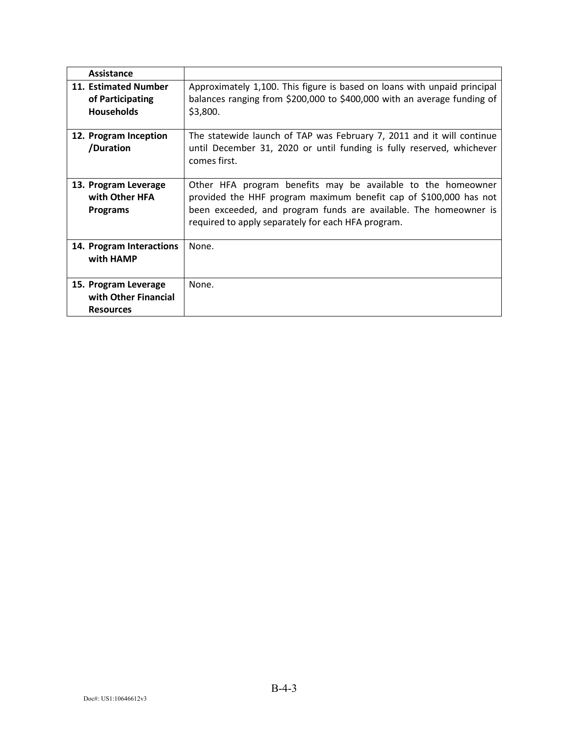| Assistance                                                       |                                                                                                                                                                                                                                                             |
|------------------------------------------------------------------|-------------------------------------------------------------------------------------------------------------------------------------------------------------------------------------------------------------------------------------------------------------|
| 11. Estimated Number<br>of Participating<br><b>Households</b>    | Approximately 1,100. This figure is based on loans with unpaid principal<br>balances ranging from \$200,000 to \$400,000 with an average funding of<br>\$3,800.                                                                                             |
| 12. Program Inception<br>/Duration                               | The statewide launch of TAP was February 7, 2011 and it will continue<br>until December 31, 2020 or until funding is fully reserved, whichever<br>comes first.                                                                                              |
| 13. Program Leverage<br>with Other HFA<br><b>Programs</b>        | Other HFA program benefits may be available to the homeowner<br>provided the HHF program maximum benefit cap of \$100,000 has not<br>been exceeded, and program funds are available. The homeowner is<br>required to apply separately for each HFA program. |
| 14. Program Interactions<br>with HAMP                            | None.                                                                                                                                                                                                                                                       |
| 15. Program Leverage<br>with Other Financial<br><b>Resources</b> | None.                                                                                                                                                                                                                                                       |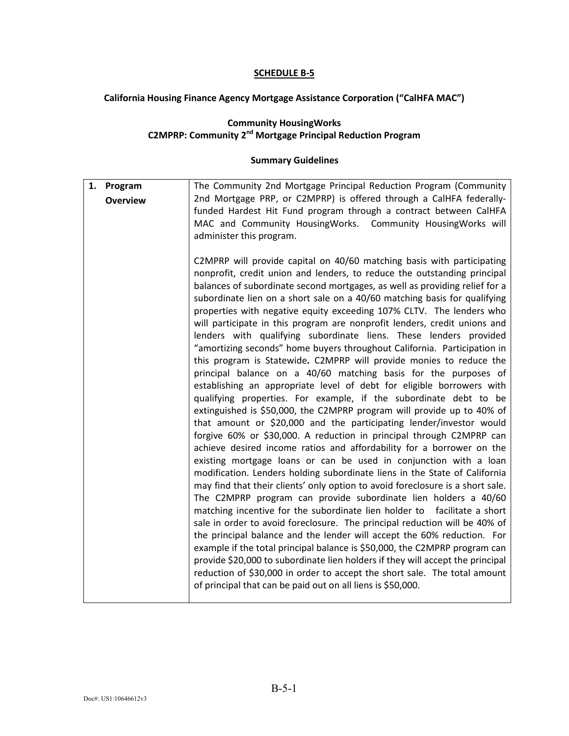#### **California Housing Finance Agency Mortgage Assistance Corporation ("CalHFA MAC")**

#### **Community HousingWorks C2MPRP: Community 2nd Mortgage Principal Reduction Program**

| 1. Program      | The Community 2nd Mortgage Principal Reduction Program (Community                                                                                                                                                                                                                                                                                                                                                                                                                                                                                                                                                                                                                                                                                                                                                                                                                                                                                                                                                                                                                                                                                                                                                                                                                                                                                                                                                                                                                                                                                                                                                                                                                                                                                                                                                                                                                                                                                                                                                                                                       |
|-----------------|-------------------------------------------------------------------------------------------------------------------------------------------------------------------------------------------------------------------------------------------------------------------------------------------------------------------------------------------------------------------------------------------------------------------------------------------------------------------------------------------------------------------------------------------------------------------------------------------------------------------------------------------------------------------------------------------------------------------------------------------------------------------------------------------------------------------------------------------------------------------------------------------------------------------------------------------------------------------------------------------------------------------------------------------------------------------------------------------------------------------------------------------------------------------------------------------------------------------------------------------------------------------------------------------------------------------------------------------------------------------------------------------------------------------------------------------------------------------------------------------------------------------------------------------------------------------------------------------------------------------------------------------------------------------------------------------------------------------------------------------------------------------------------------------------------------------------------------------------------------------------------------------------------------------------------------------------------------------------------------------------------------------------------------------------------------------------|
| <b>Overview</b> | 2nd Mortgage PRP, or C2MPRP) is offered through a CalHFA federally-<br>funded Hardest Hit Fund program through a contract between CalHFA<br>MAC and Community HousingWorks. Community HousingWorks will<br>administer this program.                                                                                                                                                                                                                                                                                                                                                                                                                                                                                                                                                                                                                                                                                                                                                                                                                                                                                                                                                                                                                                                                                                                                                                                                                                                                                                                                                                                                                                                                                                                                                                                                                                                                                                                                                                                                                                     |
|                 | C2MPRP will provide capital on 40/60 matching basis with participating<br>nonprofit, credit union and lenders, to reduce the outstanding principal<br>balances of subordinate second mortgages, as well as providing relief for a<br>subordinate lien on a short sale on a 40/60 matching basis for qualifying<br>properties with negative equity exceeding 107% CLTV. The lenders who<br>will participate in this program are nonprofit lenders, credit unions and<br>lenders with qualifying subordinate liens. These lenders provided<br>"amortizing seconds" home buyers throughout California. Participation in<br>this program is Statewide. C2MPRP will provide monies to reduce the<br>principal balance on a 40/60 matching basis for the purposes of<br>establishing an appropriate level of debt for eligible borrowers with<br>qualifying properties. For example, if the subordinate debt to be<br>extinguished is \$50,000, the C2MPRP program will provide up to 40% of<br>that amount or \$20,000 and the participating lender/investor would<br>forgive 60% or \$30,000. A reduction in principal through C2MPRP can<br>achieve desired income ratios and affordability for a borrower on the<br>existing mortgage loans or can be used in conjunction with a loan<br>modification. Lenders holding subordinate liens in the State of California<br>may find that their clients' only option to avoid foreclosure is a short sale.<br>The C2MPRP program can provide subordinate lien holders a 40/60<br>matching incentive for the subordinate lien holder to facilitate a short<br>sale in order to avoid foreclosure. The principal reduction will be 40% of<br>the principal balance and the lender will accept the 60% reduction. For<br>example if the total principal balance is \$50,000, the C2MPRP program can<br>provide \$20,000 to subordinate lien holders if they will accept the principal<br>reduction of \$30,000 in order to accept the short sale. The total amount<br>of principal that can be paid out on all liens is \$50,000. |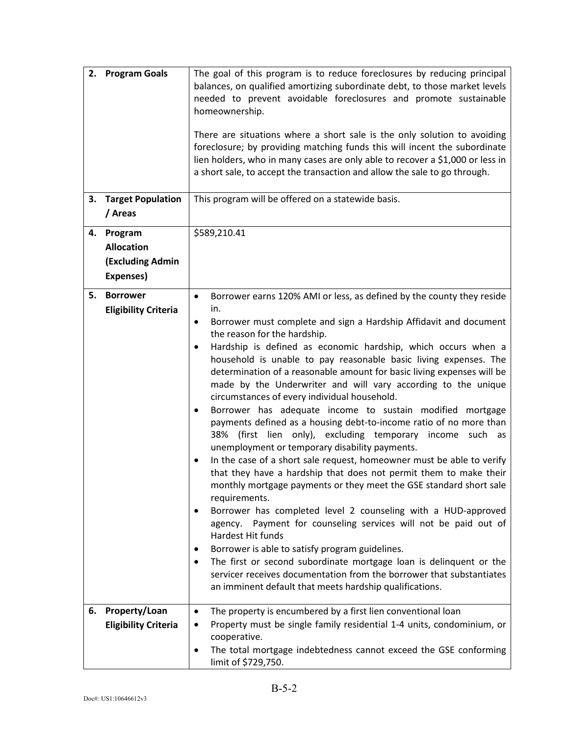|    | 2. Program Goals                                                     | The goal of this program is to reduce foreclosures by reducing principal<br>balances, on qualified amortizing subordinate debt, to those market levels<br>needed to prevent avoidable foreclosures and promote sustainable<br>homeownership.<br>There are situations where a short sale is the only solution to avoiding<br>foreclosure; by providing matching funds this will incent the subordinate<br>lien holders, who in many cases are only able to recover a \$1,000 or less in<br>a short sale, to accept the transaction and allow the sale to go through.                                                                                                                                                                                                                                                                                                                                                                                                                                                                                                                                                                                                                                                                                                                                                                                                                                                                                       |
|----|----------------------------------------------------------------------|-----------------------------------------------------------------------------------------------------------------------------------------------------------------------------------------------------------------------------------------------------------------------------------------------------------------------------------------------------------------------------------------------------------------------------------------------------------------------------------------------------------------------------------------------------------------------------------------------------------------------------------------------------------------------------------------------------------------------------------------------------------------------------------------------------------------------------------------------------------------------------------------------------------------------------------------------------------------------------------------------------------------------------------------------------------------------------------------------------------------------------------------------------------------------------------------------------------------------------------------------------------------------------------------------------------------------------------------------------------------------------------------------------------------------------------------------------------|
| 3. | <b>Target Population</b><br>/ Areas                                  | This program will be offered on a statewide basis.                                                                                                                                                                                                                                                                                                                                                                                                                                                                                                                                                                                                                                                                                                                                                                                                                                                                                                                                                                                                                                                                                                                                                                                                                                                                                                                                                                                                        |
| 4. | Program<br><b>Allocation</b><br><b>(Excluding Admin</b><br>Expenses) | \$589,210.41                                                                                                                                                                                                                                                                                                                                                                                                                                                                                                                                                                                                                                                                                                                                                                                                                                                                                                                                                                                                                                                                                                                                                                                                                                                                                                                                                                                                                                              |
| 5. | <b>Borrower</b><br><b>Eligibility Criteria</b>                       | Borrower earns 120% AMI or less, as defined by the county they reside<br>$\bullet$<br>in.<br>Borrower must complete and sign a Hardship Affidavit and document<br>٠<br>the reason for the hardship.<br>Hardship is defined as economic hardship, which occurs when a<br>٠<br>household is unable to pay reasonable basic living expenses. The<br>determination of a reasonable amount for basic living expenses will be<br>made by the Underwriter and will vary according to the unique<br>circumstances of every individual household.<br>Borrower has adequate income to sustain modified mortgage<br>payments defined as a housing debt-to-income ratio of no more than<br>38% (first lien only), excluding temporary income such as<br>unemployment or temporary disability payments.<br>In the case of a short sale request, homeowner must be able to verify<br>that they have a hardship that does not permit them to make their<br>monthly mortgage payments or they meet the GSE standard short sale<br>requirements.<br>Borrower has completed level 2 counseling with a HUD-approved<br>agency. Payment for counseling services will not be paid out of<br>Hardest Hit funds<br>Borrower is able to satisfy program guidelines.<br>٠<br>The first or second subordinate mortgage loan is delinquent or the<br>servicer receives documentation from the borrower that substantiates<br>an imminent default that meets hardship qualifications. |
| 6. | Property/Loan<br><b>Eligibility Criteria</b>                         | The property is encumbered by a first lien conventional loan<br>٠<br>Property must be single family residential 1-4 units, condominium, or<br>cooperative.<br>The total mortgage indebtedness cannot exceed the GSE conforming<br>٠<br>limit of \$729,750.                                                                                                                                                                                                                                                                                                                                                                                                                                                                                                                                                                                                                                                                                                                                                                                                                                                                                                                                                                                                                                                                                                                                                                                                |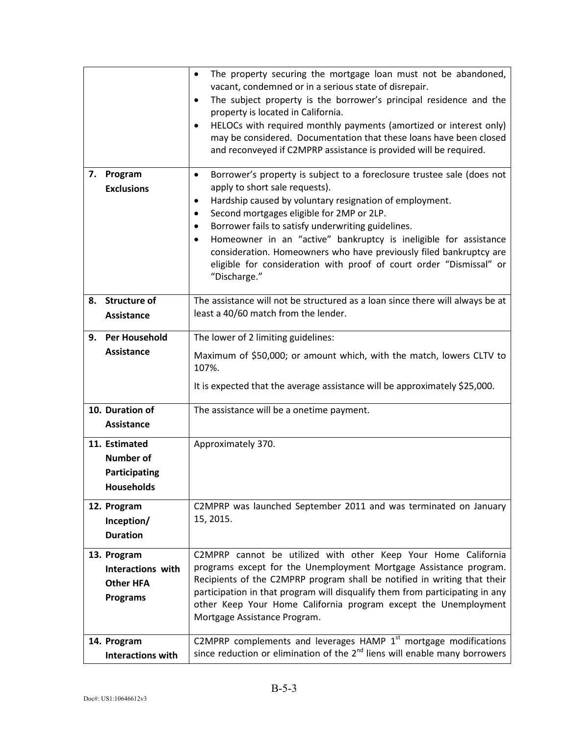|    |                                                                         | The property securing the mortgage loan must not be abandoned,<br>$\bullet$<br>vacant, condemned or in a serious state of disrepair.<br>The subject property is the borrower's principal residence and the<br>$\bullet$<br>property is located in California.<br>HELOCs with required monthly payments (amortized or interest only)<br>٠<br>may be considered. Documentation that these loans have been closed<br>and reconveyed if C2MPRP assistance is provided will be required.                                                                 |
|----|-------------------------------------------------------------------------|-----------------------------------------------------------------------------------------------------------------------------------------------------------------------------------------------------------------------------------------------------------------------------------------------------------------------------------------------------------------------------------------------------------------------------------------------------------------------------------------------------------------------------------------------------|
| 7. | Program<br><b>Exclusions</b>                                            | Borrower's property is subject to a foreclosure trustee sale (does not<br>$\bullet$<br>apply to short sale requests).<br>Hardship caused by voluntary resignation of employment.<br>٠<br>Second mortgages eligible for 2MP or 2LP.<br>$\bullet$<br>Borrower fails to satisfy underwriting guidelines.<br>$\bullet$<br>Homeowner in an "active" bankruptcy is ineligible for assistance<br>consideration. Homeowners who have previously filed bankruptcy are<br>eligible for consideration with proof of court order "Dismissal" or<br>"Discharge." |
| 8. | <b>Structure of</b><br><b>Assistance</b>                                | The assistance will not be structured as a loan since there will always be at<br>least a 40/60 match from the lender.                                                                                                                                                                                                                                                                                                                                                                                                                               |
| 9. | <b>Per Household</b>                                                    | The lower of 2 limiting guidelines:                                                                                                                                                                                                                                                                                                                                                                                                                                                                                                                 |
|    | <b>Assistance</b>                                                       | Maximum of \$50,000; or amount which, with the match, lowers CLTV to<br>107%.<br>It is expected that the average assistance will be approximately \$25,000.                                                                                                                                                                                                                                                                                                                                                                                         |
|    | 10. Duration of<br><b>Assistance</b>                                    | The assistance will be a onetime payment.                                                                                                                                                                                                                                                                                                                                                                                                                                                                                                           |
|    | 11. Estimated<br><b>Number of</b><br>Participating<br><b>Households</b> | Approximately 370.                                                                                                                                                                                                                                                                                                                                                                                                                                                                                                                                  |
|    | 12. Program<br>Inception/<br><b>Duration</b>                            | C2MPRP was launched September 2011 and was terminated on January<br>15, 2015.                                                                                                                                                                                                                                                                                                                                                                                                                                                                       |
|    | 13. Program<br>Interactions with<br><b>Other HFA</b><br><b>Programs</b> | C2MPRP cannot be utilized with other Keep Your Home California<br>programs except for the Unemployment Mortgage Assistance program.<br>Recipients of the C2MPRP program shall be notified in writing that their<br>participation in that program will disqualify them from participating in any<br>other Keep Your Home California program except the Unemployment<br>Mortgage Assistance Program.                                                                                                                                                  |
|    | 14. Program<br><b>Interactions with</b>                                 | C2MPRP complements and leverages HAMP $1st$ mortgage modifications<br>since reduction or elimination of the $2nd$ liens will enable many borrowers                                                                                                                                                                                                                                                                                                                                                                                                  |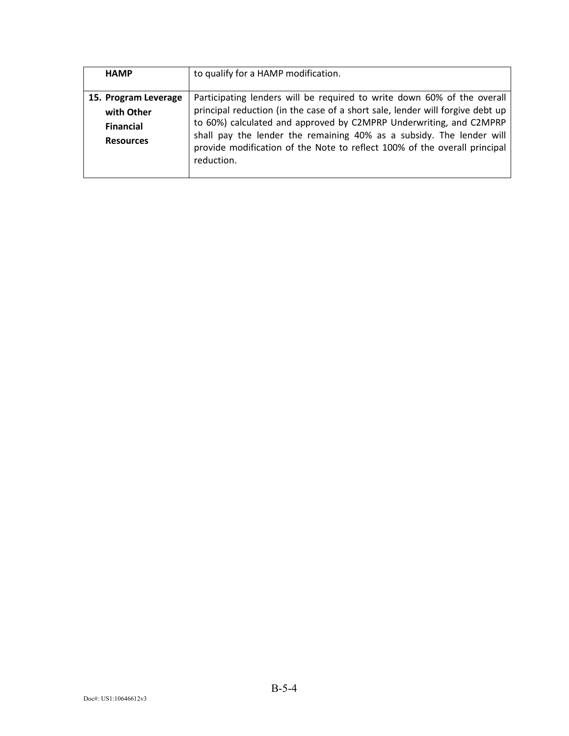| <b>HAMP</b>                                                                | to qualify for a HAMP modification.                                                                                                                                                                                                                                                                                                                                                               |
|----------------------------------------------------------------------------|---------------------------------------------------------------------------------------------------------------------------------------------------------------------------------------------------------------------------------------------------------------------------------------------------------------------------------------------------------------------------------------------------|
| 15. Program Leverage<br>with Other<br><b>Financial</b><br><b>Resources</b> | Participating lenders will be required to write down 60% of the overall<br>principal reduction (in the case of a short sale, lender will forgive debt up<br>to 60%) calculated and approved by C2MPRP Underwriting, and C2MPRP<br>shall pay the lender the remaining 40% as a subsidy. The lender will<br>provide modification of the Note to reflect 100% of the overall principal<br>reduction. |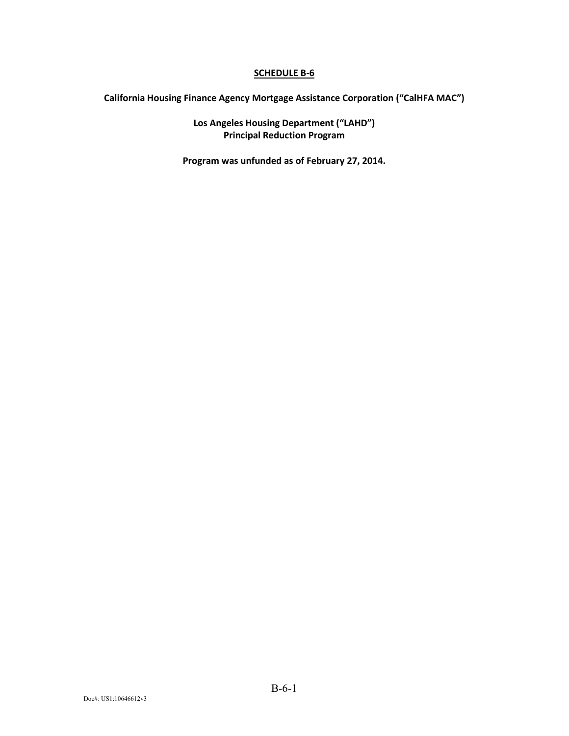**California Housing Finance Agency Mortgage Assistance Corporation ("CalHFA MAC")**

**Los Angeles Housing Department ("LAHD") Principal Reduction Program**

**Program was unfunded as of February 27, 2014.**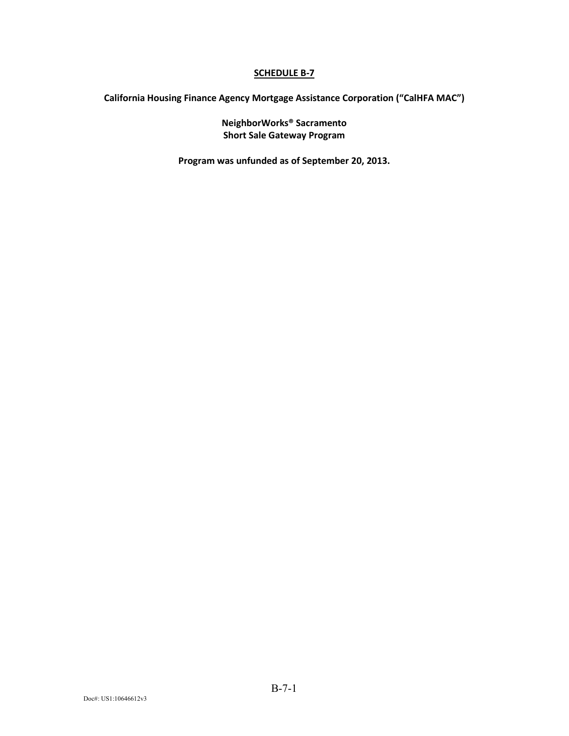**California Housing Finance Agency Mortgage Assistance Corporation ("CalHFA MAC")**

**NeighborWorks® Sacramento Short Sale Gateway Program**

**Program was unfunded as of September 20, 2013.**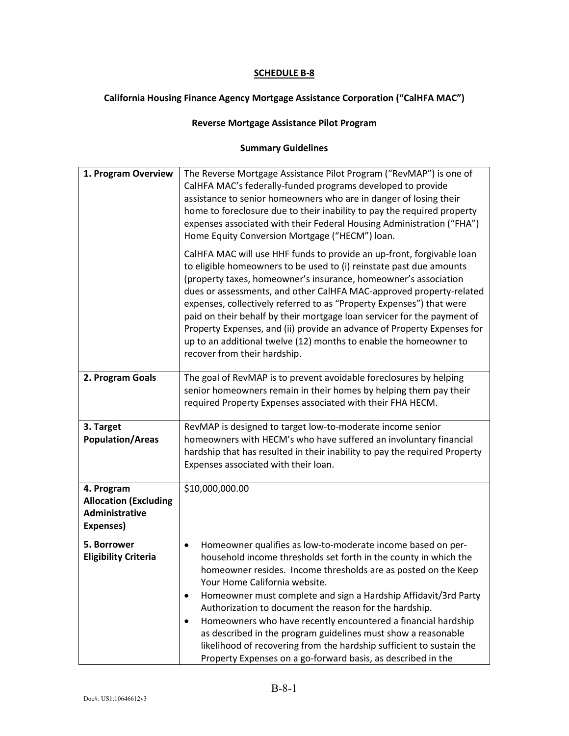#### **California Housing Finance Agency Mortgage Assistance Corporation ("CalHFA MAC")**

#### **Reverse Mortgage Assistance Pilot Program**

| 1. Program Overview                                                       | The Reverse Mortgage Assistance Pilot Program ("RevMAP") is one of<br>CalHFA MAC's federally-funded programs developed to provide<br>assistance to senior homeowners who are in danger of losing their<br>home to foreclosure due to their inability to pay the required property<br>expenses associated with their Federal Housing Administration ("FHA")<br>Home Equity Conversion Mortgage ("HECM") loan.<br>CalHFA MAC will use HHF funds to provide an up-front, forgivable loan<br>to eligible homeowners to be used to (i) reinstate past due amounts<br>(property taxes, homeowner's insurance, homeowner's association<br>dues or assessments, and other CalHFA MAC-approved property-related<br>expenses, collectively referred to as "Property Expenses") that were<br>paid on their behalf by their mortgage loan servicer for the payment of<br>Property Expenses, and (ii) provide an advance of Property Expenses for<br>up to an additional twelve (12) months to enable the homeowner to |
|---------------------------------------------------------------------------|-----------------------------------------------------------------------------------------------------------------------------------------------------------------------------------------------------------------------------------------------------------------------------------------------------------------------------------------------------------------------------------------------------------------------------------------------------------------------------------------------------------------------------------------------------------------------------------------------------------------------------------------------------------------------------------------------------------------------------------------------------------------------------------------------------------------------------------------------------------------------------------------------------------------------------------------------------------------------------------------------------------|
|                                                                           | recover from their hardship.                                                                                                                                                                                                                                                                                                                                                                                                                                                                                                                                                                                                                                                                                                                                                                                                                                                                                                                                                                              |
| 2. Program Goals                                                          | The goal of RevMAP is to prevent avoidable foreclosures by helping<br>senior homeowners remain in their homes by helping them pay their<br>required Property Expenses associated with their FHA HECM.                                                                                                                                                                                                                                                                                                                                                                                                                                                                                                                                                                                                                                                                                                                                                                                                     |
| 3. Target<br><b>Population/Areas</b>                                      | RevMAP is designed to target low-to-moderate income senior<br>homeowners with HECM's who have suffered an involuntary financial<br>hardship that has resulted in their inability to pay the required Property<br>Expenses associated with their loan.                                                                                                                                                                                                                                                                                                                                                                                                                                                                                                                                                                                                                                                                                                                                                     |
| 4. Program<br><b>Allocation (Excluding</b><br>Administrative<br>Expenses) | \$10,000,000.00                                                                                                                                                                                                                                                                                                                                                                                                                                                                                                                                                                                                                                                                                                                                                                                                                                                                                                                                                                                           |
| 5. Borrower<br><b>Eligibility Criteria</b>                                | Homeowner qualifies as low-to-moderate income based on per-<br>household income thresholds set forth in the county in which the<br>homeowner resides. Income thresholds are as posted on the Keep<br>Your Home California website.<br>Homeowner must complete and sign a Hardship Affidavit/3rd Party<br>Authorization to document the reason for the hardship.<br>Homeowners who have recently encountered a financial hardship<br>as described in the program guidelines must show a reasonable<br>likelihood of recovering from the hardship sufficient to sustain the<br>Property Expenses on a go-forward basis, as described in the                                                                                                                                                                                                                                                                                                                                                                 |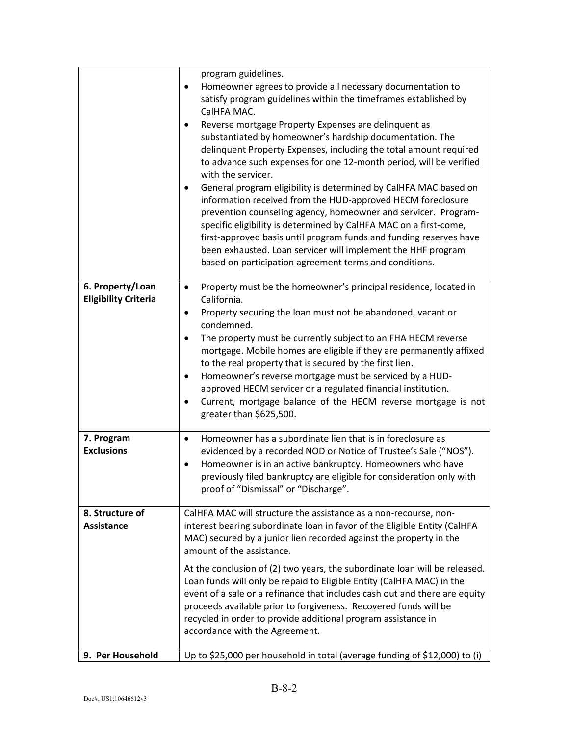|                                                 | program guidelines.<br>Homeowner agrees to provide all necessary documentation to<br>٠<br>satisfy program guidelines within the timeframes established by<br>CalHFA MAC.<br>Reverse mortgage Property Expenses are delinquent as<br>substantiated by homeowner's hardship documentation. The<br>delinquent Property Expenses, including the total amount required<br>to advance such expenses for one 12-month period, will be verified<br>with the servicer.<br>General program eligibility is determined by CalHFA MAC based on<br>٠<br>information received from the HUD-approved HECM foreclosure<br>prevention counseling agency, homeowner and servicer. Program-<br>specific eligibility is determined by CalHFA MAC on a first-come,<br>first-approved basis until program funds and funding reserves have<br>been exhausted. Loan servicer will implement the HHF program |
|-------------------------------------------------|------------------------------------------------------------------------------------------------------------------------------------------------------------------------------------------------------------------------------------------------------------------------------------------------------------------------------------------------------------------------------------------------------------------------------------------------------------------------------------------------------------------------------------------------------------------------------------------------------------------------------------------------------------------------------------------------------------------------------------------------------------------------------------------------------------------------------------------------------------------------------------|
|                                                 | based on participation agreement terms and conditions.                                                                                                                                                                                                                                                                                                                                                                                                                                                                                                                                                                                                                                                                                                                                                                                                                             |
| 6. Property/Loan<br><b>Eligibility Criteria</b> | Property must be the homeowner's principal residence, located in<br>$\bullet$<br>California.<br>Property securing the loan must not be abandoned, vacant or<br>٠<br>condemned.<br>The property must be currently subject to an FHA HECM reverse<br>$\bullet$<br>mortgage. Mobile homes are eligible if they are permanently affixed<br>to the real property that is secured by the first lien.<br>Homeowner's reverse mortgage must be serviced by a HUD-<br>٠<br>approved HECM servicer or a regulated financial institution.<br>Current, mortgage balance of the HECM reverse mortgage is not<br>٠<br>greater than \$625,500.                                                                                                                                                                                                                                                    |
| 7. Program<br><b>Exclusions</b>                 | Homeowner has a subordinate lien that is in foreclosure as<br>$\bullet$<br>evidenced by a recorded NOD or Notice of Trustee's Sale ("NOS").<br>Homeowner is in an active bankruptcy. Homeowners who have<br>٠<br>previously filed bankruptcy are eligible for consideration only with<br>proof of "Dismissal" or "Discharge".                                                                                                                                                                                                                                                                                                                                                                                                                                                                                                                                                      |
| 8. Structure of<br><b>Assistance</b>            | CalHFA MAC will structure the assistance as a non-recourse, non-<br>interest bearing subordinate loan in favor of the Eligible Entity (CalHFA<br>MAC) secured by a junior lien recorded against the property in the<br>amount of the assistance.                                                                                                                                                                                                                                                                                                                                                                                                                                                                                                                                                                                                                                   |
|                                                 | At the conclusion of (2) two years, the subordinate loan will be released.<br>Loan funds will only be repaid to Eligible Entity (CalHFA MAC) in the<br>event of a sale or a refinance that includes cash out and there are equity<br>proceeds available prior to forgiveness. Recovered funds will be<br>recycled in order to provide additional program assistance in<br>accordance with the Agreement.                                                                                                                                                                                                                                                                                                                                                                                                                                                                           |
| 9. Per Household                                | Up to \$25,000 per household in total (average funding of \$12,000) to (i)                                                                                                                                                                                                                                                                                                                                                                                                                                                                                                                                                                                                                                                                                                                                                                                                         |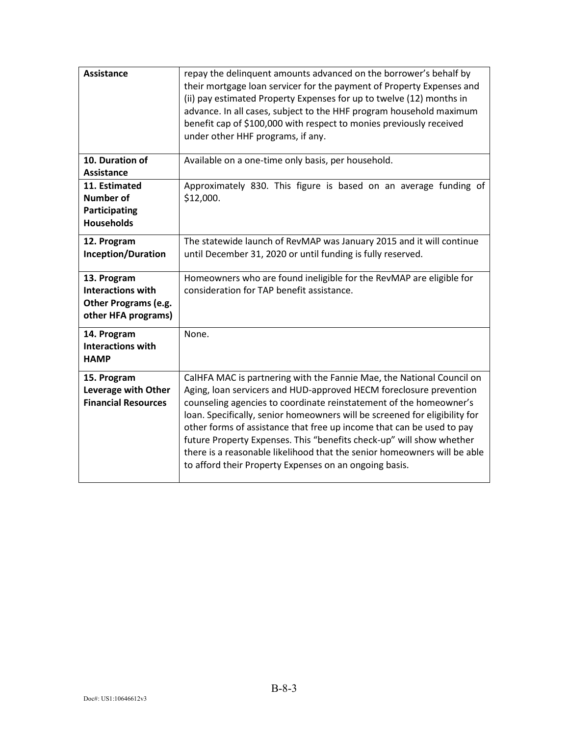| <b>Assistance</b>                                                                      | repay the delinguent amounts advanced on the borrower's behalf by<br>their mortgage loan servicer for the payment of Property Expenses and<br>(ii) pay estimated Property Expenses for up to twelve (12) months in<br>advance. In all cases, subject to the HHF program household maximum<br>benefit cap of \$100,000 with respect to monies previously received<br>under other HHF programs, if any.                                                                                                                                                                                  |
|----------------------------------------------------------------------------------------|----------------------------------------------------------------------------------------------------------------------------------------------------------------------------------------------------------------------------------------------------------------------------------------------------------------------------------------------------------------------------------------------------------------------------------------------------------------------------------------------------------------------------------------------------------------------------------------|
| 10. Duration of<br><b>Assistance</b>                                                   | Available on a one-time only basis, per household.                                                                                                                                                                                                                                                                                                                                                                                                                                                                                                                                     |
| 11. Estimated<br><b>Number of</b><br>Participating<br><b>Households</b>                | Approximately 830. This figure is based on an average funding of<br>\$12,000.                                                                                                                                                                                                                                                                                                                                                                                                                                                                                                          |
| 12. Program<br><b>Inception/Duration</b>                                               | The statewide launch of RevMAP was January 2015 and it will continue<br>until December 31, 2020 or until funding is fully reserved.                                                                                                                                                                                                                                                                                                                                                                                                                                                    |
| 13. Program<br><b>Interactions with</b><br>Other Programs (e.g.<br>other HFA programs) | Homeowners who are found ineligible for the RevMAP are eligible for<br>consideration for TAP benefit assistance.                                                                                                                                                                                                                                                                                                                                                                                                                                                                       |
| 14. Program<br><b>Interactions with</b><br><b>HAMP</b>                                 | None.                                                                                                                                                                                                                                                                                                                                                                                                                                                                                                                                                                                  |
| 15. Program<br>Leverage with Other<br><b>Financial Resources</b>                       | CalHFA MAC is partnering with the Fannie Mae, the National Council on<br>Aging, loan servicers and HUD-approved HECM foreclosure prevention<br>counseling agencies to coordinate reinstatement of the homeowner's<br>loan. Specifically, senior homeowners will be screened for eligibility for<br>other forms of assistance that free up income that can be used to pay<br>future Property Expenses. This "benefits check-up" will show whether<br>there is a reasonable likelihood that the senior homeowners will be able<br>to afford their Property Expenses on an ongoing basis. |